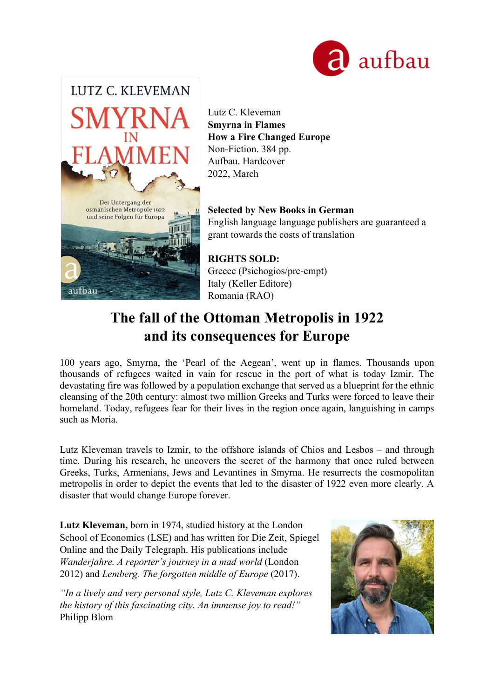



Lutz C. Kleveman Smyrna in Flames How a Fire Changed Europe Non-Fiction. 384 pp. Aufbau. Hardcover 2022, March

Selected by New Books in German English language language publishers are guaranteed a grant towards the costs of translation

RIGHTS SOLD: Greece (Psichogios/pre-empt) Italy (Keller Editore) Romania (RAO)

# The fall of the Ottoman Metropolis in 1922 and its consequences for Europe

100 years ago, Smyrna, the 'Pearl of the Aegean', went up in flames. Thousands upon thousands of refugees waited in vain for rescue in the port of what is today Izmir. The devastating fire was followed by a population exchange that served as a blueprint for the ethnic cleansing of the 20th century: almost two million Greeks and Turks were forced to leave their homeland. Today, refugees fear for their lives in the region once again, languishing in camps such as Moria.

Lutz Kleveman travels to Izmir, to the offshore islands of Chios and Lesbos – and through time. During his research, he uncovers the secret of the harmony that once ruled between Greeks, Turks, Armenians, Jews and Levantines in Smyrna. He resurrects the cosmopolitan metropolis in order to depict the events that led to the disaster of 1922 even more clearly. A disaster that would change Europe forever.

Lutz Kleveman, born in 1974, studied history at the London School of Economics (LSE) and has written for Die Zeit, Spiegel Online and the Daily Telegraph. His publications include Wanderjahre. A reporter's journey in a mad world (London 2012) and Lemberg. The forgotten middle of Europe (2017).

"In a lively and very personal style, Lutz C. Kleveman explores the history of this fascinating city. An immense joy to read!" Philipp Blom

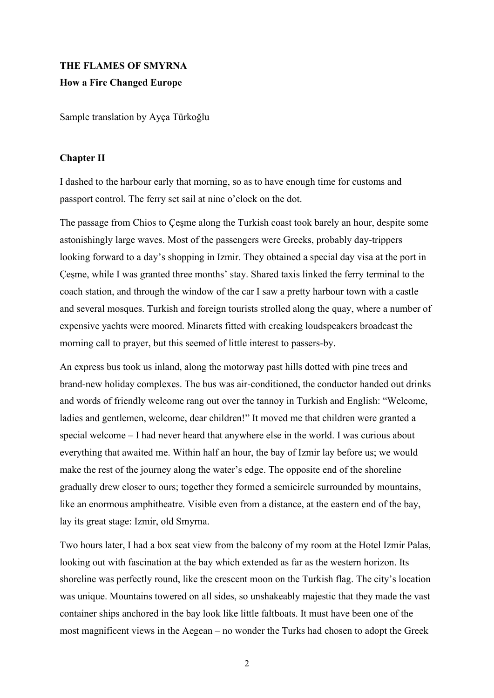## THE FLAMES OF SMYRNA

#### How a Fire Changed Europe

Sample translation by Ayça Türkoğlu

#### Chapter II

I dashed to the harbour early that morning, so as to have enough time for customs and passport control. The ferry set sail at nine o'clock on the dot.

The passage from Chios to Çeşme along the Turkish coast took barely an hour, despite some astonishingly large waves. Most of the passengers were Greeks, probably day-trippers looking forward to a day's shopping in Izmir. They obtained a special day visa at the port in Çeşme, while I was granted three months' stay. Shared taxis linked the ferry terminal to the coach station, and through the window of the car I saw a pretty harbour town with a castle and several mosques. Turkish and foreign tourists strolled along the quay, where a number of expensive yachts were moored. Minarets fitted with creaking loudspeakers broadcast the morning call to prayer, but this seemed of little interest to passers-by.

An express bus took us inland, along the motorway past hills dotted with pine trees and brand-new holiday complexes. The bus was air-conditioned, the conductor handed out drinks and words of friendly welcome rang out over the tannoy in Turkish and English: "Welcome, ladies and gentlemen, welcome, dear children!" It moved me that children were granted a special welcome – I had never heard that anywhere else in the world. I was curious about everything that awaited me. Within half an hour, the bay of Izmir lay before us; we would make the rest of the journey along the water's edge. The opposite end of the shoreline gradually drew closer to ours; together they formed a semicircle surrounded by mountains, like an enormous amphitheatre. Visible even from a distance, at the eastern end of the bay, lay its great stage: Izmir, old Smyrna.

Two hours later, I had a box seat view from the balcony of my room at the Hotel Izmir Palas, looking out with fascination at the bay which extended as far as the western horizon. Its shoreline was perfectly round, like the crescent moon on the Turkish flag. The city's location was unique. Mountains towered on all sides, so unshakeably majestic that they made the vast container ships anchored in the bay look like little faltboats. It must have been one of the most magnificent views in the Aegean – no wonder the Turks had chosen to adopt the Greek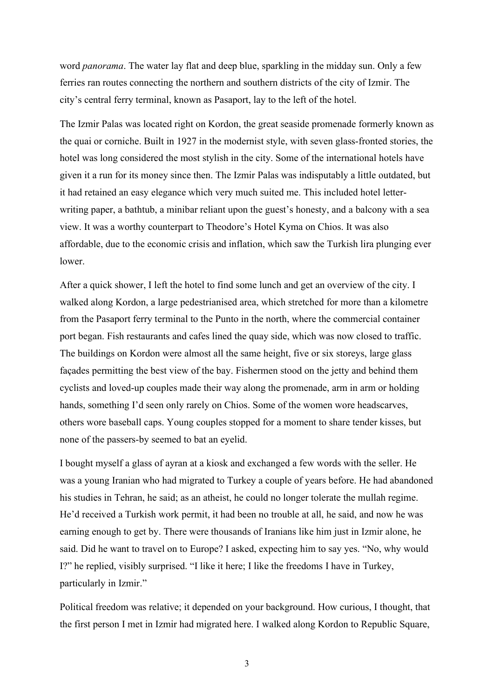word panorama. The water lay flat and deep blue, sparkling in the midday sun. Only a few ferries ran routes connecting the northern and southern districts of the city of Izmir. The city's central ferry terminal, known as Pasaport, lay to the left of the hotel.

The Izmir Palas was located right on Kordon, the great seaside promenade formerly known as the quai or corniche. Built in 1927 in the modernist style, with seven glass-fronted stories, the hotel was long considered the most stylish in the city. Some of the international hotels have given it a run for its money since then. The Izmir Palas was indisputably a little outdated, but it had retained an easy elegance which very much suited me. This included hotel letterwriting paper, a bathtub, a minibar reliant upon the guest's honesty, and a balcony with a sea view. It was a worthy counterpart to Theodore's Hotel Kyma on Chios. It was also affordable, due to the economic crisis and inflation, which saw the Turkish lira plunging ever lower.

After a quick shower, I left the hotel to find some lunch and get an overview of the city. I walked along Kordon, a large pedestrianised area, which stretched for more than a kilometre from the Pasaport ferry terminal to the Punto in the north, where the commercial container port began. Fish restaurants and cafes lined the quay side, which was now closed to traffic. The buildings on Kordon were almost all the same height, five or six storeys, large glass façades permitting the best view of the bay. Fishermen stood on the jetty and behind them cyclists and loved-up couples made their way along the promenade, arm in arm or holding hands, something I'd seen only rarely on Chios. Some of the women wore headscarves, others wore baseball caps. Young couples stopped for a moment to share tender kisses, but none of the passers-by seemed to bat an eyelid.

I bought myself a glass of ayran at a kiosk and exchanged a few words with the seller. He was a young Iranian who had migrated to Turkey a couple of years before. He had abandoned his studies in Tehran, he said; as an atheist, he could no longer tolerate the mullah regime. He'd received a Turkish work permit, it had been no trouble at all, he said, and now he was earning enough to get by. There were thousands of Iranians like him just in Izmir alone, he said. Did he want to travel on to Europe? I asked, expecting him to say yes. "No, why would I?" he replied, visibly surprised. "I like it here; I like the freedoms I have in Turkey, particularly in Izmir."

Political freedom was relative; it depended on your background. How curious, I thought, that the first person I met in Izmir had migrated here. I walked along Kordon to Republic Square,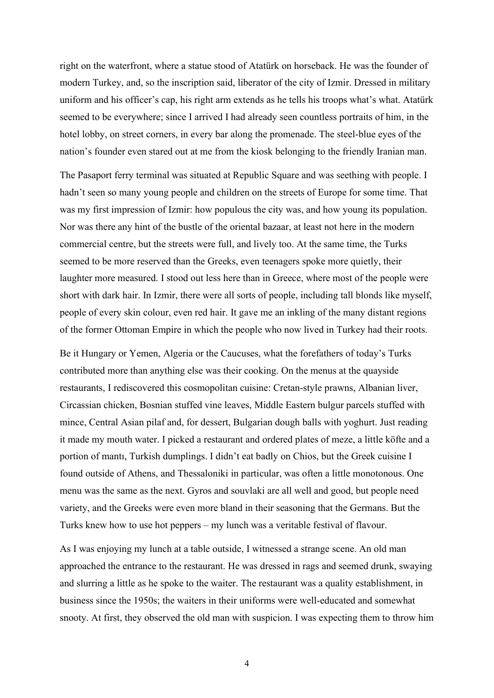right on the waterfront, where a statue stood of Atatürk on horseback. He was the founder of modern Turkey, and, so the inscription said, liberator of the city of Izmir. Dressed in military uniform and his officer's cap, his right arm extends as he tells his troops what's what. Atatürk seemed to be everywhere; since I arrived I had already seen countless portraits of him, in the hotel lobby, on street corners, in every bar along the promenade. The steel-blue eyes of the nation's founder even stared out at me from the kiosk belonging to the friendly Iranian man.

The Pasaport ferry terminal was situated at Republic Square and was seething with people. I hadn't seen so many young people and children on the streets of Europe for some time. That was my first impression of Izmir: how populous the city was, and how young its population. Nor was there any hint of the bustle of the oriental bazaar, at least not here in the modern commercial centre, but the streets were full, and lively too. At the same time, the Turks seemed to be more reserved than the Greeks, even teenagers spoke more quietly, their laughter more measured. I stood out less here than in Greece, where most of the people were short with dark hair. In Izmir, there were all sorts of people, including tall blonds like myself, people of every skin colour, even red hair. It gave me an inkling of the many distant regions of the former Ottoman Empire in which the people who now lived in Turkey had their roots.

Be it Hungary or Yemen, Algeria or the Caucuses, what the forefathers of today's Turks contributed more than anything else was their cooking. On the menus at the quayside restaurants, I rediscovered this cosmopolitan cuisine: Cretan-style prawns, Albanian liver, Circassian chicken, Bosnian stuffed vine leaves, Middle Eastern bulgur parcels stuffed with mince, Central Asian pilaf and, for dessert, Bulgarian dough balls with yoghurt. Just reading it made my mouth water. I picked a restaurant and ordered plates of meze, a little köfte and a portion of mantı, Turkish dumplings. I didn't eat badly on Chios, but the Greek cuisine I found outside of Athens, and Thessaloniki in particular, was often a little monotonous. One menu was the same as the next. Gyros and souvlaki are all well and good, but people need variety, and the Greeks were even more bland in their seasoning that the Germans. But the Turks knew how to use hot peppers – my lunch was a veritable festival of flavour.

As I was enjoying my lunch at a table outside, I witnessed a strange scene. An old man approached the entrance to the restaurant. He was dressed in rags and seemed drunk, swaying and slurring a little as he spoke to the waiter. The restaurant was a quality establishment, in business since the 1950s; the waiters in their uniforms were well-educated and somewhat snooty. At first, they observed the old man with suspicion. I was expecting them to throw him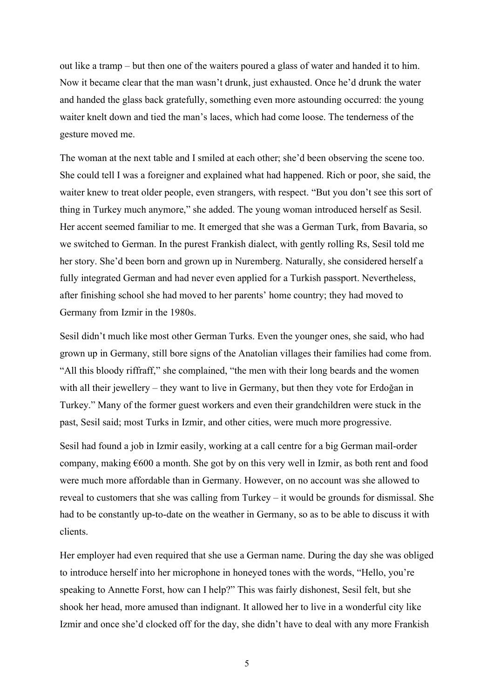out like a tramp – but then one of the waiters poured a glass of water and handed it to him. Now it became clear that the man wasn't drunk, just exhausted. Once he'd drunk the water and handed the glass back gratefully, something even more astounding occurred: the young waiter knelt down and tied the man's laces, which had come loose. The tenderness of the gesture moved me.

The woman at the next table and I smiled at each other; she'd been observing the scene too. She could tell I was a foreigner and explained what had happened. Rich or poor, she said, the waiter knew to treat older people, even strangers, with respect. "But you don't see this sort of thing in Turkey much anymore," she added. The young woman introduced herself as Sesil. Her accent seemed familiar to me. It emerged that she was a German Turk, from Bavaria, so we switched to German. In the purest Frankish dialect, with gently rolling Rs, Sesil told me her story. She'd been born and grown up in Nuremberg. Naturally, she considered herself a fully integrated German and had never even applied for a Turkish passport. Nevertheless, after finishing school she had moved to her parents' home country; they had moved to Germany from Izmir in the 1980s.

Sesil didn't much like most other German Turks. Even the younger ones, she said, who had grown up in Germany, still bore signs of the Anatolian villages their families had come from. "All this bloody riffraff," she complained, "the men with their long beards and the women with all their jewellery – they want to live in Germany, but then they vote for Erdoğan in Turkey." Many of the former guest workers and even their grandchildren were stuck in the past, Sesil said; most Turks in Izmir, and other cities, were much more progressive.

Sesil had found a job in Izmir easily, working at a call centre for a big German mail-order company, making €600 a month. She got by on this very well in Izmir, as both rent and food were much more affordable than in Germany. However, on no account was she allowed to reveal to customers that she was calling from Turkey – it would be grounds for dismissal. She had to be constantly up-to-date on the weather in Germany, so as to be able to discuss it with clients.

Her employer had even required that she use a German name. During the day she was obliged to introduce herself into her microphone in honeyed tones with the words, "Hello, you're speaking to Annette Forst, how can I help?" This was fairly dishonest, Sesil felt, but she shook her head, more amused than indignant. It allowed her to live in a wonderful city like Izmir and once she'd clocked off for the day, she didn't have to deal with any more Frankish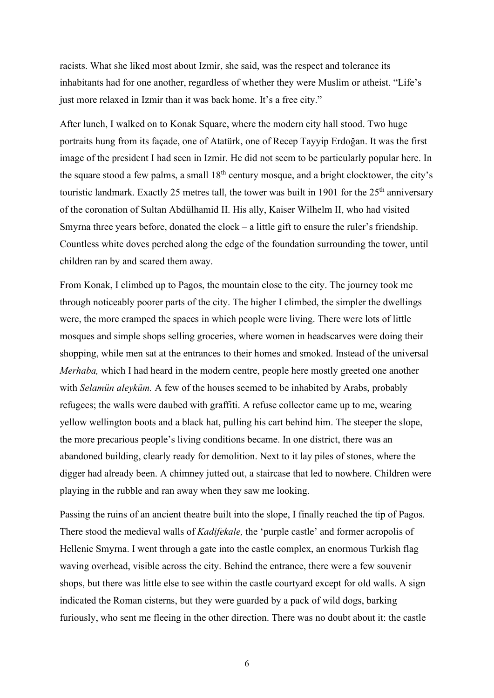racists. What she liked most about Izmir, she said, was the respect and tolerance its inhabitants had for one another, regardless of whether they were Muslim or atheist. "Life's just more relaxed in Izmir than it was back home. It's a free city."

After lunch, I walked on to Konak Square, where the modern city hall stood. Two huge portraits hung from its façade, one of Atatürk, one of Recep Tayyip Erdoğan. It was the first image of the president I had seen in Izmir. He did not seem to be particularly popular here. In the square stood a few palms, a small  $18<sup>th</sup>$  century mosque, and a bright clocktower, the city's touristic landmark. Exactly 25 metres tall, the tower was built in 1901 for the 25<sup>th</sup> anniversary of the coronation of Sultan Abdülhamid II. His ally, Kaiser Wilhelm II, who had visited Smyrna three years before, donated the clock – a little gift to ensure the ruler's friendship. Countless white doves perched along the edge of the foundation surrounding the tower, until children ran by and scared them away.

From Konak, I climbed up to Pagos, the mountain close to the city. The journey took me through noticeably poorer parts of the city. The higher I climbed, the simpler the dwellings were, the more cramped the spaces in which people were living. There were lots of little mosques and simple shops selling groceries, where women in headscarves were doing their shopping, while men sat at the entrances to their homes and smoked. Instead of the universal Merhaba, which I had heard in the modern centre, people here mostly greeted one another with *Selamün aleyküm*. A few of the houses seemed to be inhabited by Arabs, probably refugees; the walls were daubed with graffiti. A refuse collector came up to me, wearing yellow wellington boots and a black hat, pulling his cart behind him. The steeper the slope, the more precarious people's living conditions became. In one district, there was an abandoned building, clearly ready for demolition. Next to it lay piles of stones, where the digger had already been. A chimney jutted out, a staircase that led to nowhere. Children were playing in the rubble and ran away when they saw me looking.

Passing the ruins of an ancient theatre built into the slope, I finally reached the tip of Pagos. There stood the medieval walls of *Kadifekale*, the 'purple castle' and former acropolis of Hellenic Smyrna. I went through a gate into the castle complex, an enormous Turkish flag waving overhead, visible across the city. Behind the entrance, there were a few souvenir shops, but there was little else to see within the castle courtyard except for old walls. A sign indicated the Roman cisterns, but they were guarded by a pack of wild dogs, barking furiously, who sent me fleeing in the other direction. There was no doubt about it: the castle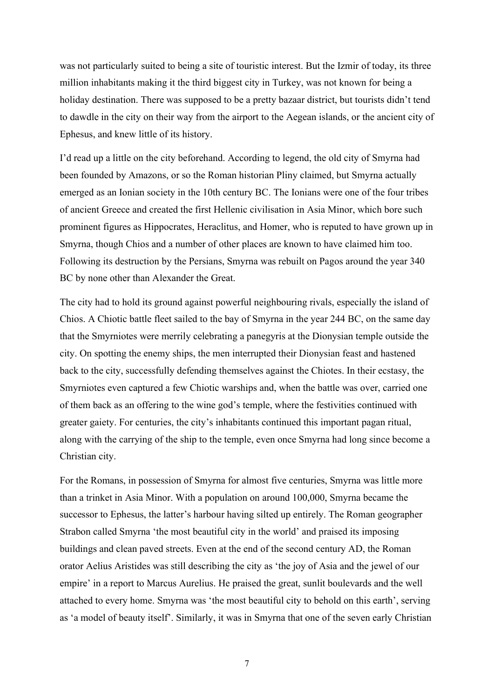was not particularly suited to being a site of touristic interest. But the Izmir of today, its three million inhabitants making it the third biggest city in Turkey, was not known for being a holiday destination. There was supposed to be a pretty bazaar district, but tourists didn't tend to dawdle in the city on their way from the airport to the Aegean islands, or the ancient city of Ephesus, and knew little of its history.

I'd read up a little on the city beforehand. According to legend, the old city of Smyrna had been founded by Amazons, or so the Roman historian Pliny claimed, but Smyrna actually emerged as an Ionian society in the 10th century BC. The Ionians were one of the four tribes of ancient Greece and created the first Hellenic civilisation in Asia Minor, which bore such prominent figures as Hippocrates, Heraclitus, and Homer, who is reputed to have grown up in Smyrna, though Chios and a number of other places are known to have claimed him too. Following its destruction by the Persians, Smyrna was rebuilt on Pagos around the year 340 BC by none other than Alexander the Great.

The city had to hold its ground against powerful neighbouring rivals, especially the island of Chios. A Chiotic battle fleet sailed to the bay of Smyrna in the year 244 BC, on the same day that the Smyrniotes were merrily celebrating a panegyris at the Dionysian temple outside the city. On spotting the enemy ships, the men interrupted their Dionysian feast and hastened back to the city, successfully defending themselves against the Chiotes. In their ecstasy, the Smyrniotes even captured a few Chiotic warships and, when the battle was over, carried one of them back as an offering to the wine god's temple, where the festivities continued with greater gaiety. For centuries, the city's inhabitants continued this important pagan ritual, along with the carrying of the ship to the temple, even once Smyrna had long since become a Christian city.

For the Romans, in possession of Smyrna for almost five centuries, Smyrna was little more than a trinket in Asia Minor. With a population on around 100,000, Smyrna became the successor to Ephesus, the latter's harbour having silted up entirely. The Roman geographer Strabon called Smyrna 'the most beautiful city in the world' and praised its imposing buildings and clean paved streets. Even at the end of the second century AD, the Roman orator Aelius Aristides was still describing the city as 'the joy of Asia and the jewel of our empire' in a report to Marcus Aurelius. He praised the great, sunlit boulevards and the well attached to every home. Smyrna was 'the most beautiful city to behold on this earth', serving as 'a model of beauty itself'. Similarly, it was in Smyrna that one of the seven early Christian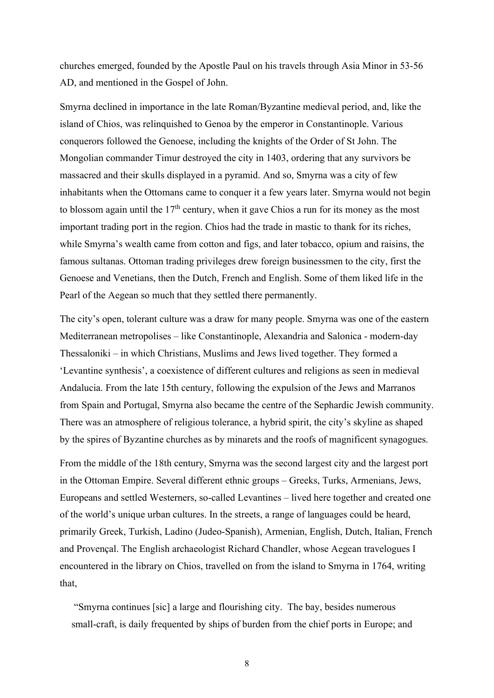churches emerged, founded by the Apostle Paul on his travels through Asia Minor in 53-56 AD, and mentioned in the Gospel of John.

Smyrna declined in importance in the late Roman/Byzantine medieval period, and, like the island of Chios, was relinquished to Genoa by the emperor in Constantinople. Various conquerors followed the Genoese, including the knights of the Order of St John. The Mongolian commander Timur destroyed the city in 1403, ordering that any survivors be massacred and their skulls displayed in a pyramid. And so, Smyrna was a city of few inhabitants when the Ottomans came to conquer it a few years later. Smyrna would not begin to blossom again until the  $17<sup>th</sup>$  century, when it gave Chios a run for its money as the most important trading port in the region. Chios had the trade in mastic to thank for its riches, while Smyrna's wealth came from cotton and figs, and later tobacco, opium and raisins, the famous sultanas. Ottoman trading privileges drew foreign businessmen to the city, first the Genoese and Venetians, then the Dutch, French and English. Some of them liked life in the Pearl of the Aegean so much that they settled there permanently.

The city's open, tolerant culture was a draw for many people. Smyrna was one of the eastern Mediterranean metropolises – like Constantinople, Alexandria and Salonica - modern-day Thessaloniki – in which Christians, Muslims and Jews lived together. They formed a 'Levantine synthesis', a coexistence of different cultures and religions as seen in medieval Andalucia. From the late 15th century, following the expulsion of the Jews and Marranos from Spain and Portugal, Smyrna also became the centre of the Sephardic Jewish community. There was an atmosphere of religious tolerance, a hybrid spirit, the city's skyline as shaped by the spires of Byzantine churches as by minarets and the roofs of magnificent synagogues.

From the middle of the 18th century, Smyrna was the second largest city and the largest port in the Ottoman Empire. Several different ethnic groups – Greeks, Turks, Armenians, Jews, Europeans and settled Westerners, so-called Levantines – lived here together and created one of the world's unique urban cultures. In the streets, a range of languages could be heard, primarily Greek, Turkish, Ladino (Judeo-Spanish), Armenian, English, Dutch, Italian, French and Provençal. The English archaeologist Richard Chandler, whose Aegean travelogues I encountered in the library on Chios, travelled on from the island to Smyrna in 1764, writing that,

 "Smyrna continues [sic] a large and flourishing city. The bay, besides numerous small-craft, is daily frequented by ships of burden from the chief ports in Europe; and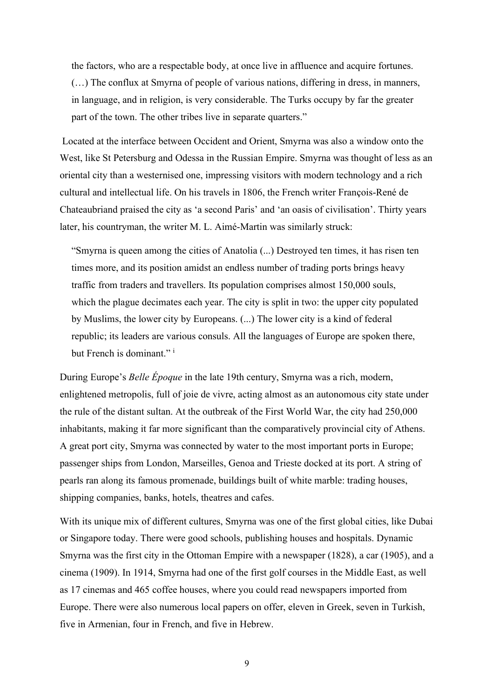the factors, who are a respectable body, at once live in affluence and acquire fortunes. (…) The conflux at Smyrna of people of various nations, differing in dress, in manners, in language, and in religion, is very considerable. The Turks occupy by far the greater part of the town. The other tribes live in separate quarters."

 Located at the interface between Occident and Orient, Smyrna was also a window onto the West, like St Petersburg and Odessa in the Russian Empire. Smyrna was thought of less as an oriental city than a westernised one, impressing visitors with modern technology and a rich cultural and intellectual life. On his travels in 1806, the French writer François-René de Chateaubriand praised the city as 'a second Paris' and 'an oasis of civilisation'. Thirty years later, his countryman, the writer M. L. Aimé-Martin was similarly struck:

"Smyrna is queen among the cities of Anatolia (...) Destroyed ten times, it has risen ten times more, and its position amidst an endless number of trading ports brings heavy traffic from traders and travellers. Its population comprises almost 150,000 souls, which the plague decimates each year. The city is split in two: the upper city populated by Muslims, the lower city by Europeans. (...) The lower city is a kind of federal republic; its leaders are various consuls. All the languages of Europe are spoken there, but French is dominant."<sup>i</sup>

During Europe's Belle Époque in the late 19th century, Smyrna was a rich, modern, enlightened metropolis, full of joie de vivre, acting almost as an autonomous city state under the rule of the distant sultan. At the outbreak of the First World War, the city had 250,000 inhabitants, making it far more significant than the comparatively provincial city of Athens. A great port city, Smyrna was connected by water to the most important ports in Europe; passenger ships from London, Marseilles, Genoa and Trieste docked at its port. A string of pearls ran along its famous promenade, buildings built of white marble: trading houses, shipping companies, banks, hotels, theatres and cafes.

With its unique mix of different cultures, Smyrna was one of the first global cities, like Dubai or Singapore today. There were good schools, publishing houses and hospitals. Dynamic Smyrna was the first city in the Ottoman Empire with a newspaper (1828), a car (1905), and a cinema (1909). In 1914, Smyrna had one of the first golf courses in the Middle East, as well as 17 cinemas and 465 coffee houses, where you could read newspapers imported from Europe. There were also numerous local papers on offer, eleven in Greek, seven in Turkish, five in Armenian, four in French, and five in Hebrew.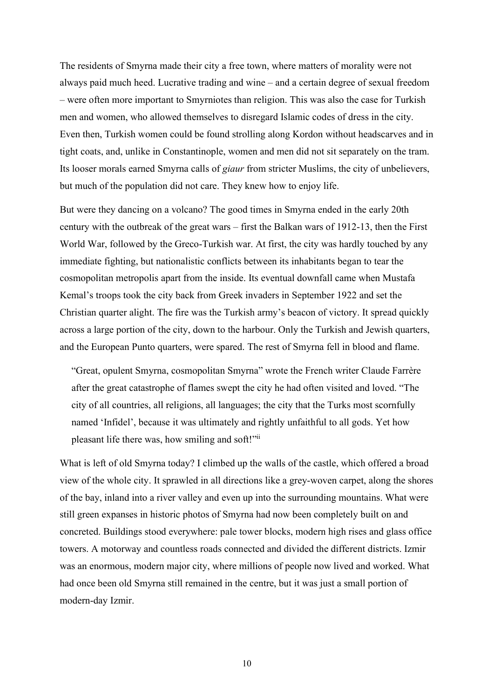The residents of Smyrna made their city a free town, where matters of morality were not always paid much heed. Lucrative trading and wine – and a certain degree of sexual freedom – were often more important to Smyrniotes than religion. This was also the case for Turkish men and women, who allowed themselves to disregard Islamic codes of dress in the city. Even then, Turkish women could be found strolling along Kordon without headscarves and in tight coats, and, unlike in Constantinople, women and men did not sit separately on the tram. Its looser morals earned Smyrna calls of giaur from stricter Muslims, the city of unbelievers, but much of the population did not care. They knew how to enjoy life.

But were they dancing on a volcano? The good times in Smyrna ended in the early 20th century with the outbreak of the great wars – first the Balkan wars of 1912-13, then the First World War, followed by the Greco-Turkish war. At first, the city was hardly touched by any immediate fighting, but nationalistic conflicts between its inhabitants began to tear the cosmopolitan metropolis apart from the inside. Its eventual downfall came when Mustafa Kemal's troops took the city back from Greek invaders in September 1922 and set the Christian quarter alight. The fire was the Turkish army's beacon of victory. It spread quickly across a large portion of the city, down to the harbour. Only the Turkish and Jewish quarters, and the European Punto quarters, were spared. The rest of Smyrna fell in blood and flame.

"Great, opulent Smyrna, cosmopolitan Smyrna" wrote the French writer Claude Farrère after the great catastrophe of flames swept the city he had often visited and loved. "The city of all countries, all religions, all languages; the city that the Turks most scornfully named 'Infidel', because it was ultimately and rightly unfaithful to all gods. Yet how pleasant life there was, how smiling and soft!"ii

What is left of old Smyrna today? I climbed up the walls of the castle, which offered a broad view of the whole city. It sprawled in all directions like a grey-woven carpet, along the shores of the bay, inland into a river valley and even up into the surrounding mountains. What were still green expanses in historic photos of Smyrna had now been completely built on and concreted. Buildings stood everywhere: pale tower blocks, modern high rises and glass office towers. A motorway and countless roads connected and divided the different districts. Izmir was an enormous, modern major city, where millions of people now lived and worked. What had once been old Smyrna still remained in the centre, but it was just a small portion of modern-day Izmir.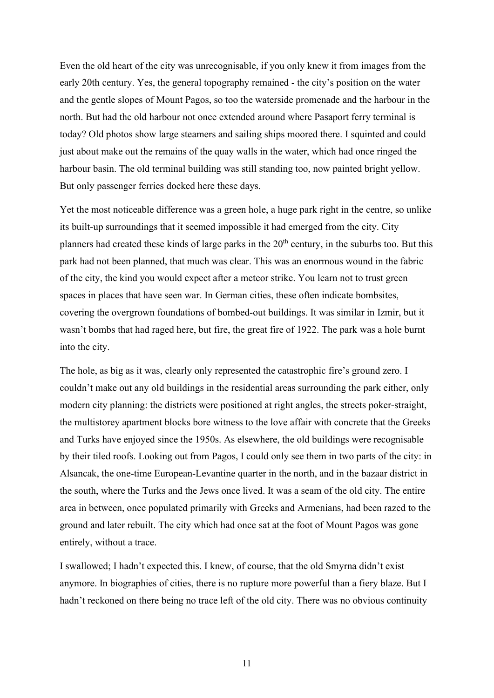Even the old heart of the city was unrecognisable, if you only knew it from images from the early 20th century. Yes, the general topography remained - the city's position on the water and the gentle slopes of Mount Pagos, so too the waterside promenade and the harbour in the north. But had the old harbour not once extended around where Pasaport ferry terminal is today? Old photos show large steamers and sailing ships moored there. I squinted and could just about make out the remains of the quay walls in the water, which had once ringed the harbour basin. The old terminal building was still standing too, now painted bright yellow. But only passenger ferries docked here these days.

Yet the most noticeable difference was a green hole, a huge park right in the centre, so unlike its built-up surroundings that it seemed impossible it had emerged from the city. City planners had created these kinds of large parks in the  $20<sup>th</sup>$  century, in the suburbs too. But this park had not been planned, that much was clear. This was an enormous wound in the fabric of the city, the kind you would expect after a meteor strike. You learn not to trust green spaces in places that have seen war. In German cities, these often indicate bombsites, covering the overgrown foundations of bombed-out buildings. It was similar in Izmir, but it wasn't bombs that had raged here, but fire, the great fire of 1922. The park was a hole burnt into the city.

The hole, as big as it was, clearly only represented the catastrophic fire's ground zero. I couldn't make out any old buildings in the residential areas surrounding the park either, only modern city planning: the districts were positioned at right angles, the streets poker-straight, the multistorey apartment blocks bore witness to the love affair with concrete that the Greeks and Turks have enjoyed since the 1950s. As elsewhere, the old buildings were recognisable by their tiled roofs. Looking out from Pagos, I could only see them in two parts of the city: in Alsancak, the one-time European-Levantine quarter in the north, and in the bazaar district in the south, where the Turks and the Jews once lived. It was a seam of the old city. The entire area in between, once populated primarily with Greeks and Armenians, had been razed to the ground and later rebuilt. The city which had once sat at the foot of Mount Pagos was gone entirely, without a trace.

I swallowed; I hadn't expected this. I knew, of course, that the old Smyrna didn't exist anymore. In biographies of cities, there is no rupture more powerful than a fiery blaze. But I hadn't reckoned on there being no trace left of the old city. There was no obvious continuity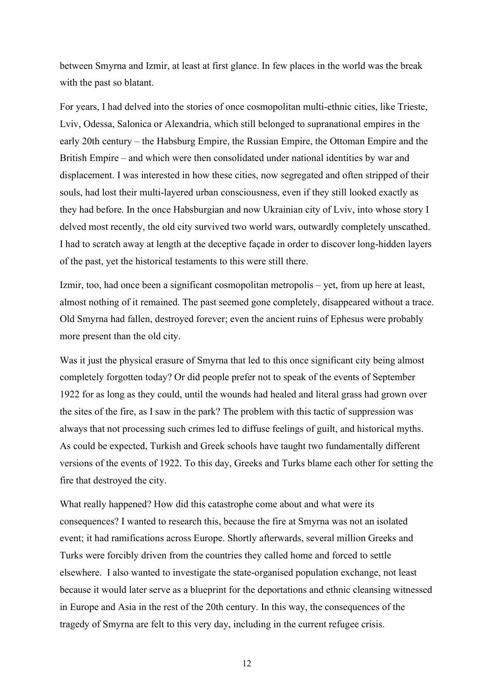between Smyrna and Izmir, at least at first glance. In few places in the world was the break with the past so blatant.

For years, I had delved into the stories of once cosmopolitan multi-ethnic cities, like Trieste, Lviv, Odessa, Salonica or Alexandria, which still belonged to supranational empires in the early 20th century – the Habsburg Empire, the Russian Empire, the Ottoman Empire and the British Empire – and which were then consolidated under national identities by war and displacement. I was interested in how these cities, now segregated and often stripped of their souls, had lost their multi-layered urban consciousness, even if they still looked exactly as they had before. In the once Habsburgian and now Ukrainian city of Lviv, into whose story I delved most recently, the old city survived two world wars, outwardly completely unscathed. I had to scratch away at length at the deceptive façade in order to discover long-hidden layers of the past, yet the historical testaments to this were still there.

Izmir, too, had once been a significant cosmopolitan metropolis – yet, from up here at least, almost nothing of it remained. The past seemed gone completely, disappeared without a trace. Old Smyrna had fallen, destroyed forever; even the ancient ruins of Ephesus were probably more present than the old city.

Was it just the physical erasure of Smyrna that led to this once significant city being almost completely forgotten today? Or did people prefer not to speak of the events of September 1922 for as long as they could, until the wounds had healed and literal grass had grown over the sites of the fire, as I saw in the park? The problem with this tactic of suppression was always that not processing such crimes led to diffuse feelings of guilt, and historical myths. As could be expected, Turkish and Greek schools have taught two fundamentally different versions of the events of 1922. To this day, Greeks and Turks blame each other for setting the fire that destroyed the city.

What really happened? How did this catastrophe come about and what were its consequences? I wanted to research this, because the fire at Smyrna was not an isolated event; it had ramifications across Europe. Shortly afterwards, several million Greeks and Turks were forcibly driven from the countries they called home and forced to settle elsewhere. I also wanted to investigate the state-organised population exchange, not least because it would later serve as a blueprint for the deportations and ethnic cleansing witnessed in Europe and Asia in the rest of the 20th century. In this way, the consequences of the tragedy of Smyrna are felt to this very day, including in the current refugee crisis.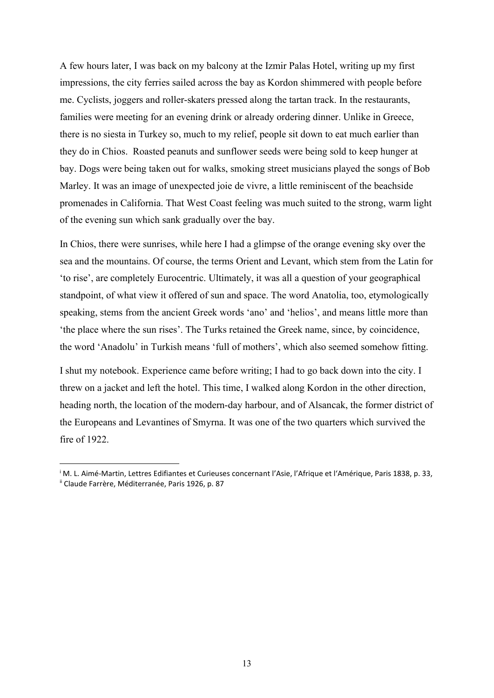A few hours later, I was back on my balcony at the Izmir Palas Hotel, writing up my first impressions, the city ferries sailed across the bay as Kordon shimmered with people before me. Cyclists, joggers and roller-skaters pressed along the tartan track. In the restaurants, families were meeting for an evening drink or already ordering dinner. Unlike in Greece, there is no siesta in Turkey so, much to my relief, people sit down to eat much earlier than they do in Chios. Roasted peanuts and sunflower seeds were being sold to keep hunger at bay. Dogs were being taken out for walks, smoking street musicians played the songs of Bob Marley. It was an image of unexpected joie de vivre, a little reminiscent of the beachside promenades in California. That West Coast feeling was much suited to the strong, warm light of the evening sun which sank gradually over the bay.

In Chios, there were sunrises, while here I had a glimpse of the orange evening sky over the sea and the mountains. Of course, the terms Orient and Levant, which stem from the Latin for 'to rise', are completely Eurocentric. Ultimately, it was all a question of your geographical standpoint, of what view it offered of sun and space. The word Anatolia, too, etymologically speaking, stems from the ancient Greek words 'ano' and 'helios', and means little more than 'the place where the sun rises'. The Turks retained the Greek name, since, by coincidence, the word 'Anadolu' in Turkish means 'full of mothers', which also seemed somehow fitting.

I shut my notebook. Experience came before writing; I had to go back down into the city. I threw on a jacket and left the hotel. This time, I walked along Kordon in the other direction, heading north, the location of the modern-day harbour, and of Alsancak, the former district of the Europeans and Levantines of Smyrna. It was one of the two quarters which survived the fire of 1922.

i M. L. Aimé-Martin, Lettres Edifiantes et Curieuses concernant l'Asie, l'Afrique et l'Amérique, Paris 1838, p. 33, <sup>ii</sup> Claude Farrère, Méditerranée, Paris 1926, p. 87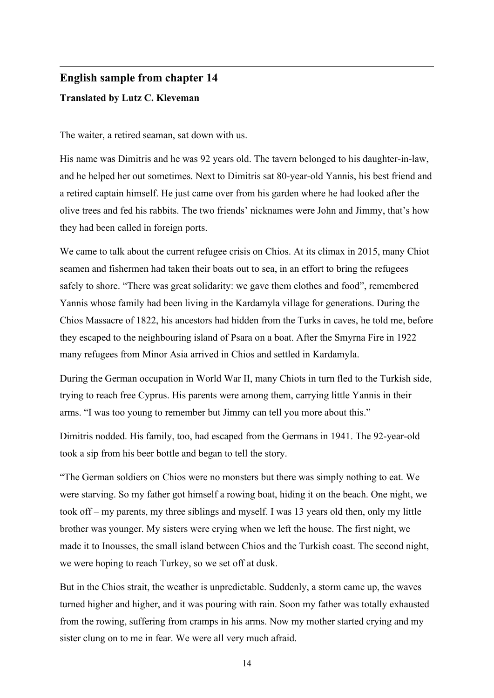## English sample from chapter 14 Translated by Lutz C. Kleveman

The waiter, a retired seaman, sat down with us.

His name was Dimitris and he was 92 years old. The tavern belonged to his daughter-in-law, and he helped her out sometimes. Next to Dimitris sat 80-year-old Yannis, his best friend and a retired captain himself. He just came over from his garden where he had looked after the olive trees and fed his rabbits. The two friends' nicknames were John and Jimmy, that's how they had been called in foreign ports.

We came to talk about the current refugee crisis on Chios. At its climax in 2015, many Chiot seamen and fishermen had taken their boats out to sea, in an effort to bring the refugees safely to shore. "There was great solidarity: we gave them clothes and food", remembered Yannis whose family had been living in the Kardamyla village for generations. During the Chios Massacre of 1822, his ancestors had hidden from the Turks in caves, he told me, before they escaped to the neighbouring island of Psara on a boat. After the Smyrna Fire in 1922 many refugees from Minor Asia arrived in Chios and settled in Kardamyla.

During the German occupation in World War II, many Chiots in turn fled to the Turkish side, trying to reach free Cyprus. His parents were among them, carrying little Yannis in their arms. "I was too young to remember but Jimmy can tell you more about this."

Dimitris nodded. His family, too, had escaped from the Germans in 1941. The 92-year-old took a sip from his beer bottle and began to tell the story.

"The German soldiers on Chios were no monsters but there was simply nothing to eat. We were starving. So my father got himself a rowing boat, hiding it on the beach. One night, we took off – my parents, my three siblings and myself. I was 13 years old then, only my little brother was younger. My sisters were crying when we left the house. The first night, we made it to Inousses, the small island between Chios and the Turkish coast. The second night, we were hoping to reach Turkey, so we set off at dusk.

But in the Chios strait, the weather is unpredictable. Suddenly, a storm came up, the waves turned higher and higher, and it was pouring with rain. Soon my father was totally exhausted from the rowing, suffering from cramps in his arms. Now my mother started crying and my sister clung on to me in fear. We were all very much afraid.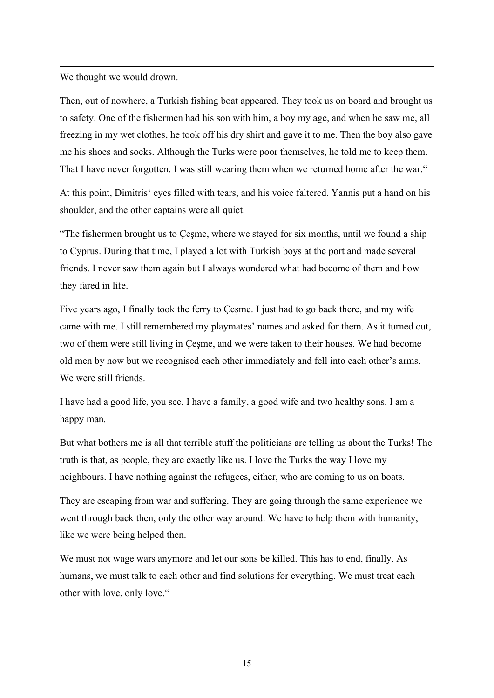We thought we would drown.

Then, out of nowhere, a Turkish fishing boat appeared. They took us on board and brought us to safety. One of the fishermen had his son with him, a boy my age, and when he saw me, all freezing in my wet clothes, he took off his dry shirt and gave it to me. Then the boy also gave me his shoes and socks. Although the Turks were poor themselves, he told me to keep them. That I have never forgotten. I was still wearing them when we returned home after the war."

At this point, Dimitris' eyes filled with tears, and his voice faltered. Yannis put a hand on his shoulder, and the other captains were all quiet.

"The fishermen brought us to Çeşme, where we stayed for six months, until we found a ship to Cyprus. During that time, I played a lot with Turkish boys at the port and made several friends. I never saw them again but I always wondered what had become of them and how they fared in life.

Five years ago, I finally took the ferry to Çeşme. I just had to go back there, and my wife came with me. I still remembered my playmates' names and asked for them. As it turned out, two of them were still living in Çeşme, and we were taken to their houses. We had become old men by now but we recognised each other immediately and fell into each other's arms. We were still friends.

I have had a good life, you see. I have a family, a good wife and two healthy sons. I am a happy man.

But what bothers me is all that terrible stuff the politicians are telling us about the Turks! The truth is that, as people, they are exactly like us. I love the Turks the way I love my neighbours. I have nothing against the refugees, either, who are coming to us on boats.

They are escaping from war and suffering. They are going through the same experience we went through back then, only the other way around. We have to help them with humanity, like we were being helped then.

We must not wage wars anymore and let our sons be killed. This has to end, finally. As humans, we must talk to each other and find solutions for everything. We must treat each other with love, only love."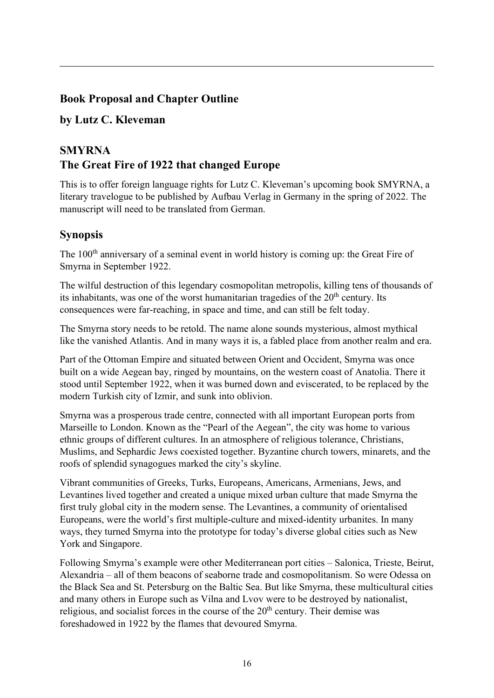#### Book Proposal and Chapter Outline

#### by Lutz C. Kleveman

## **SMYRNA** The Great Fire of 1922 that changed Europe

This is to offer foreign language rights for Lutz C. Kleveman's upcoming book SMYRNA, a literary travelogue to be published by Aufbau Verlag in Germany in the spring of 2022. The manuscript will need to be translated from German.

#### **Synopsis**

The 100<sup>th</sup> anniversary of a seminal event in world history is coming up: the Great Fire of Smyrna in September 1922.

The wilful destruction of this legendary cosmopolitan metropolis, killing tens of thousands of its inhabitants, was one of the worst humanitarian tragedies of the  $20<sup>th</sup>$  century. Its consequences were far-reaching, in space and time, and can still be felt today.

The Smyrna story needs to be retold. The name alone sounds mysterious, almost mythical like the vanished Atlantis. And in many ways it is, a fabled place from another realm and era.

Part of the Ottoman Empire and situated between Orient and Occident, Smyrna was once built on a wide Aegean bay, ringed by mountains, on the western coast of Anatolia. There it stood until September 1922, when it was burned down and eviscerated, to be replaced by the modern Turkish city of Izmir, and sunk into oblivion.

Smyrna was a prosperous trade centre, connected with all important European ports from Marseille to London. Known as the "Pearl of the Aegean", the city was home to various ethnic groups of different cultures. In an atmosphere of religious tolerance, Christians, Muslims, and Sephardic Jews coexisted together. Byzantine church towers, minarets, and the roofs of splendid synagogues marked the city's skyline.

Vibrant communities of Greeks, Turks, Europeans, Americans, Armenians, Jews, and Levantines lived together and created a unique mixed urban culture that made Smyrna the first truly global city in the modern sense. The Levantines, a community of orientalised Europeans, were the world's first multiple-culture and mixed-identity urbanites. In many ways, they turned Smyrna into the prototype for today's diverse global cities such as New York and Singapore.

Following Smyrna's example were other Mediterranean port cities – Salonica, Trieste, Beirut, Alexandria – all of them beacons of seaborne trade and cosmopolitanism. So were Odessa on the Black Sea and St. Petersburg on the Baltic Sea. But like Smyrna, these multicultural cities and many others in Europe such as Vilna and Lvov were to be destroyed by nationalist, religious, and socialist forces in the course of the  $20<sup>th</sup>$  century. Their demise was foreshadowed in 1922 by the flames that devoured Smyrna.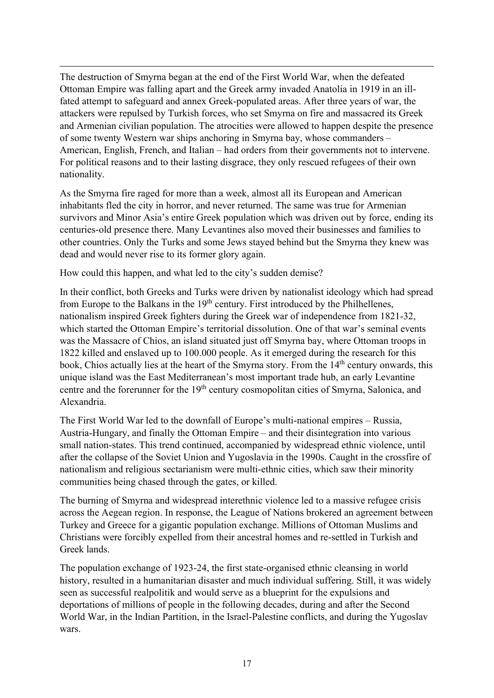The destruction of Smyrna began at the end of the First World War, when the defeated Ottoman Empire was falling apart and the Greek army invaded Anatolia in 1919 in an illfated attempt to safeguard and annex Greek-populated areas. After three years of war, the attackers were repulsed by Turkish forces, who set Smyrna on fire and massacred its Greek and Armenian civilian population. The atrocities were allowed to happen despite the presence of some twenty Western war ships anchoring in Smyrna bay, whose commanders – American, English, French, and Italian – had orders from their governments not to intervene. For political reasons and to their lasting disgrace, they only rescued refugees of their own nationality.

As the Smyrna fire raged for more than a week, almost all its European and American inhabitants fled the city in horror, and never returned. The same was true for Armenian survivors and Minor Asia's entire Greek population which was driven out by force, ending its centuries-old presence there. Many Levantines also moved their businesses and families to other countries. Only the Turks and some Jews stayed behind but the Smyrna they knew was dead and would never rise to its former glory again.

How could this happen, and what led to the city's sudden demise?

In their conflict, both Greeks and Turks were driven by nationalist ideology which had spread from Europe to the Balkans in the  $19<sup>th</sup>$  century. First introduced by the Philhellenes, nationalism inspired Greek fighters during the Greek war of independence from 1821-32, which started the Ottoman Empire's territorial dissolution. One of that war's seminal events was the Massacre of Chios, an island situated just off Smyrna bay, where Ottoman troops in 1822 killed and enslaved up to 100.000 people. As it emerged during the research for this book, Chios actually lies at the heart of the Smyrna story. From the 14<sup>th</sup> century onwards, this unique island was the East Mediterranean's most important trade hub, an early Levantine centre and the forerunner for the 19<sup>th</sup> century cosmopolitan cities of Smyrna, Salonica, and Alexandria.

The First World War led to the downfall of Europe's multi-national empires – Russia, Austria-Hungary, and finally the Ottoman Empire – and their disintegration into various small nation-states. This trend continued, accompanied by widespread ethnic violence, until after the collapse of the Soviet Union and Yugoslavia in the 1990s. Caught in the crossfire of nationalism and religious sectarianism were multi-ethnic cities, which saw their minority communities being chased through the gates, or killed.

The burning of Smyrna and widespread interethnic violence led to a massive refugee crisis across the Aegean region. In response, the League of Nations brokered an agreement between Turkey and Greece for a gigantic population exchange. Millions of Ottoman Muslims and Christians were forcibly expelled from their ancestral homes and re-settled in Turkish and Greek lands.

The population exchange of 1923-24, the first state-organised ethnic cleansing in world history, resulted in a humanitarian disaster and much individual suffering. Still, it was widely seen as successful realpolitik and would serve as a blueprint for the expulsions and deportations of millions of people in the following decades, during and after the Second World War, in the Indian Partition, in the Israel-Palestine conflicts, and during the Yugoslav wars.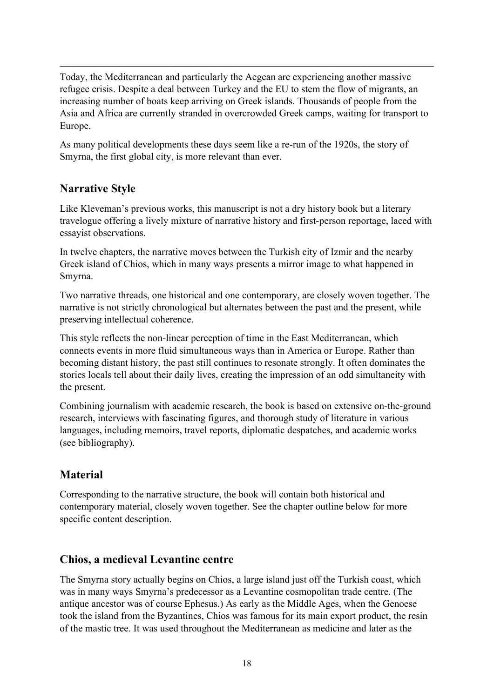Today, the Mediterranean and particularly the Aegean are experiencing another massive refugee crisis. Despite a deal between Turkey and the EU to stem the flow of migrants, an increasing number of boats keep arriving on Greek islands. Thousands of people from the Asia and Africa are currently stranded in overcrowded Greek camps, waiting for transport to Europe.

As many political developments these days seem like a re-run of the 1920s, the story of Smyrna, the first global city, is more relevant than ever.

## Narrative Style

Like Kleveman's previous works, this manuscript is not a dry history book but a literary travelogue offering a lively mixture of narrative history and first-person reportage, laced with essayist observations.

In twelve chapters, the narrative moves between the Turkish city of Izmir and the nearby Greek island of Chios, which in many ways presents a mirror image to what happened in Smyrna.

Two narrative threads, one historical and one contemporary, are closely woven together. The narrative is not strictly chronological but alternates between the past and the present, while preserving intellectual coherence.

This style reflects the non-linear perception of time in the East Mediterranean, which connects events in more fluid simultaneous ways than in America or Europe. Rather than becoming distant history, the past still continues to resonate strongly. It often dominates the stories locals tell about their daily lives, creating the impression of an odd simultaneity with the present.

Combining journalism with academic research, the book is based on extensive on-the-ground research, interviews with fascinating figures, and thorough study of literature in various languages, including memoirs, travel reports, diplomatic despatches, and academic works (see bibliography).

## Material

Corresponding to the narrative structure, the book will contain both historical and contemporary material, closely woven together. See the chapter outline below for more specific content description.

#### Chios, a medieval Levantine centre

The Smyrna story actually begins on Chios, a large island just off the Turkish coast, which was in many ways Smyrna's predecessor as a Levantine cosmopolitan trade centre. (The antique ancestor was of course Ephesus.) As early as the Middle Ages, when the Genoese took the island from the Byzantines, Chios was famous for its main export product, the resin of the mastic tree. It was used throughout the Mediterranean as medicine and later as the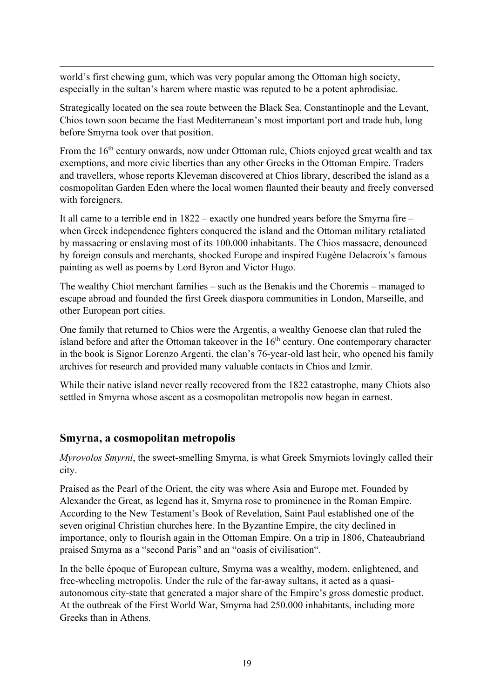world's first chewing gum, which was very popular among the Ottoman high society, especially in the sultan's harem where mastic was reputed to be a potent aphrodisiac.

Strategically located on the sea route between the Black Sea, Constantinople and the Levant, Chios town soon became the East Mediterranean's most important port and trade hub, long before Smyrna took over that position.

From the 16<sup>th</sup> century onwards, now under Ottoman rule, Chiots enjoyed great wealth and tax exemptions, and more civic liberties than any other Greeks in the Ottoman Empire. Traders and travellers, whose reports Kleveman discovered at Chios library, described the island as a cosmopolitan Garden Eden where the local women flaunted their beauty and freely conversed with foreigners.

It all came to a terrible end in 1822 – exactly one hundred years before the Smyrna fire – when Greek independence fighters conquered the island and the Ottoman military retaliated by massacring or enslaving most of its 100.000 inhabitants. The Chios massacre, denounced by foreign consuls and merchants, shocked Europe and inspired Eugène Delacroix's famous painting as well as poems by Lord Byron and Victor Hugo.

The wealthy Chiot merchant families – such as the Benakis and the Choremis – managed to escape abroad and founded the first Greek diaspora communities in London, Marseille, and other European port cities.

One family that returned to Chios were the Argentis, a wealthy Genoese clan that ruled the island before and after the Ottoman takeover in the  $16<sup>th</sup>$  century. One contemporary character in the book is Signor Lorenzo Argenti, the clan's 76-year-old last heir, who opened his family archives for research and provided many valuable contacts in Chios and Izmir.

While their native island never really recovered from the 1822 catastrophe, many Chiots also settled in Smyrna whose ascent as a cosmopolitan metropolis now began in earnest.

#### Smyrna, a cosmopolitan metropolis

Myrovolos Smyrni, the sweet-smelling Smyrna, is what Greek Smyrniots lovingly called their city.

Praised as the Pearl of the Orient, the city was where Asia and Europe met. Founded by Alexander the Great, as legend has it, Smyrna rose to prominence in the Roman Empire. According to the New Testament's Book of Revelation, Saint Paul established one of the seven original Christian churches here. In the Byzantine Empire, the city declined in importance, only to flourish again in the Ottoman Empire. On a trip in 1806, Chateaubriand praised Smyrna as a "second Paris" and an "oasis of civilisation".

In the belle époque of European culture, Smyrna was a wealthy, modern, enlightened, and free-wheeling metropolis. Under the rule of the far-away sultans, it acted as a quasiautonomous city-state that generated a major share of the Empire's gross domestic product. At the outbreak of the First World War, Smyrna had 250.000 inhabitants, including more Greeks than in Athens.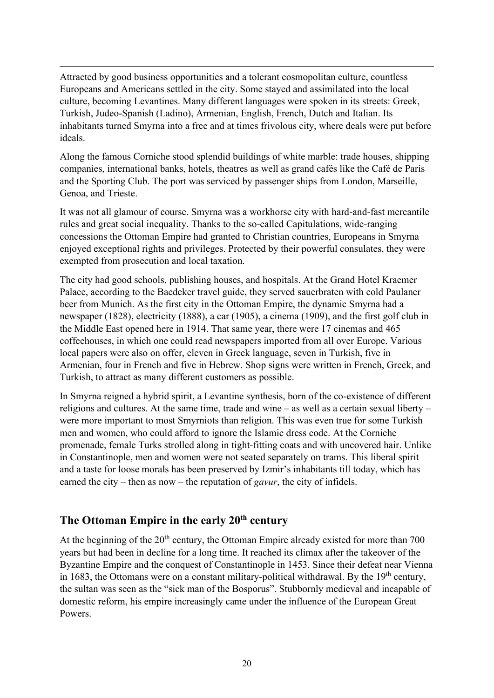Attracted by good business opportunities and a tolerant cosmopolitan culture, countless Europeans and Americans settled in the city. Some stayed and assimilated into the local culture, becoming Levantines. Many different languages were spoken in its streets: Greek, Turkish, Judeo-Spanish (Ladino), Armenian, English, French, Dutch and Italian. Its inhabitants turned Smyrna into a free and at times frivolous city, where deals were put before ideals.

Along the famous Corniche stood splendid buildings of white marble: trade houses, shipping companies, international banks, hotels, theatres as well as grand cafés like the Café de Paris and the Sporting Club. The port was serviced by passenger ships from London, Marseille, Genoa, and Trieste.

It was not all glamour of course. Smyrna was a workhorse city with hard-and-fast mercantile rules and great social inequality. Thanks to the so-called Capitulations, wide-ranging concessions the Ottoman Empire had granted to Christian countries, Europeans in Smyrna enjoyed exceptional rights and privileges. Protected by their powerful consulates, they were exempted from prosecution and local taxation.

The city had good schools, publishing houses, and hospitals. At the Grand Hotel Kraemer Palace, according to the Baedeker travel guide, they served sauerbraten with cold Paulaner beer from Munich. As the first city in the Ottoman Empire, the dynamic Smyrna had a newspaper (1828), electricity (1888), a car (1905), a cinema (1909), and the first golf club in the Middle East opened here in 1914. That same year, there were 17 cinemas and 465 coffeehouses, in which one could read newspapers imported from all over Europe. Various local papers were also on offer, eleven in Greek language, seven in Turkish, five in Armenian, four in French and five in Hebrew. Shop signs were written in French, Greek, and Turkish, to attract as many different customers as possible.

In Smyrna reigned a hybrid spirit, a Levantine synthesis, born of the co-existence of different religions and cultures. At the same time, trade and wine – as well as a certain sexual liberty – were more important to most Smyrniots than religion. This was even true for some Turkish men and women, who could afford to ignore the Islamic dress code. At the Corniche promenade, female Turks strolled along in tight-fitting coats and with uncovered hair. Unlike in Constantinople, men and women were not seated separately on trams. This liberal spirit and a taste for loose morals has been preserved by Izmir's inhabitants till today, which has earned the city – then as now – the reputation of *gavur*, the city of infidels.

#### The Ottoman Empire in the early  $20<sup>th</sup>$  century

At the beginning of the  $20<sup>th</sup>$  century, the Ottoman Empire already existed for more than 700 years but had been in decline for a long time. It reached its climax after the takeover of the Byzantine Empire and the conquest of Constantinople in 1453. Since their defeat near Vienna in 1683, the Ottomans were on a constant military-political withdrawal. By the  $19<sup>th</sup>$  century, the sultan was seen as the "sick man of the Bosporus". Stubbornly medieval and incapable of domestic reform, his empire increasingly came under the influence of the European Great Powers.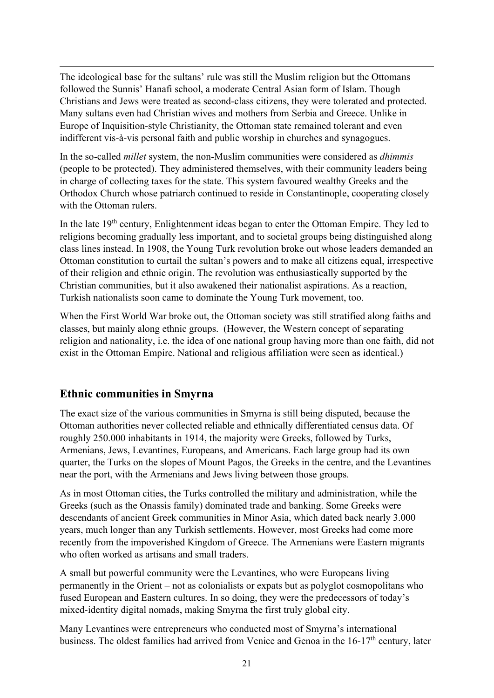The ideological base for the sultans' rule was still the Muslim religion but the Ottomans followed the Sunnis' Hanafi school, a moderate Central Asian form of Islam. Though Christians and Jews were treated as second-class citizens, they were tolerated and protected. Many sultans even had Christian wives and mothers from Serbia and Greece. Unlike in Europe of Inquisition-style Christianity, the Ottoman state remained tolerant and even indifferent vis-à-vis personal faith and public worship in churches and synagogues.

In the so-called millet system, the non-Muslim communities were considered as dhimmis (people to be protected). They administered themselves, with their community leaders being in charge of collecting taxes for the state. This system favoured wealthy Greeks and the Orthodox Church whose patriarch continued to reside in Constantinople, cooperating closely with the Ottoman rulers.

In the late  $19<sup>th</sup>$  century, Enlightenment ideas began to enter the Ottoman Empire. They led to religions becoming gradually less important, and to societal groups being distinguished along class lines instead. In 1908, the Young Turk revolution broke out whose leaders demanded an Ottoman constitution to curtail the sultan's powers and to make all citizens equal, irrespective of their religion and ethnic origin. The revolution was enthusiastically supported by the Christian communities, but it also awakened their nationalist aspirations. As a reaction, Turkish nationalists soon came to dominate the Young Turk movement, too.

When the First World War broke out, the Ottoman society was still stratified along faiths and classes, but mainly along ethnic groups. (However, the Western concept of separating religion and nationality, i.e. the idea of one national group having more than one faith, did not exist in the Ottoman Empire. National and religious affiliation were seen as identical.)

#### Ethnic communities in Smyrna

The exact size of the various communities in Smyrna is still being disputed, because the Ottoman authorities never collected reliable and ethnically differentiated census data. Of roughly 250.000 inhabitants in 1914, the majority were Greeks, followed by Turks, Armenians, Jews, Levantines, Europeans, and Americans. Each large group had its own quarter, the Turks on the slopes of Mount Pagos, the Greeks in the centre, and the Levantines near the port, with the Armenians and Jews living between those groups.

As in most Ottoman cities, the Turks controlled the military and administration, while the Greeks (such as the Onassis family) dominated trade and banking. Some Greeks were descendants of ancient Greek communities in Minor Asia, which dated back nearly 3.000 years, much longer than any Turkish settlements. However, most Greeks had come more recently from the impoverished Kingdom of Greece. The Armenians were Eastern migrants who often worked as artisans and small traders.

A small but powerful community were the Levantines, who were Europeans living permanently in the Orient – not as colonialists or expats but as polyglot cosmopolitans who fused European and Eastern cultures. In so doing, they were the predecessors of today's mixed-identity digital nomads, making Smyrna the first truly global city.

Many Levantines were entrepreneurs who conducted most of Smyrna's international business. The oldest families had arrived from Venice and Genoa in the 16-17<sup>th</sup> century, later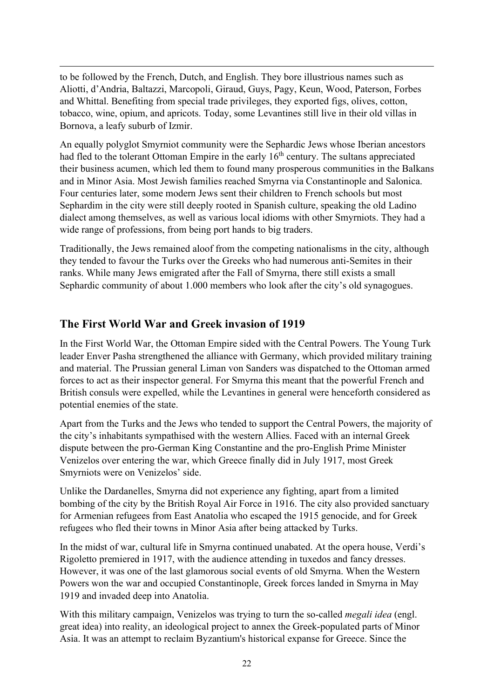to be followed by the French, Dutch, and English. They bore illustrious names such as Aliotti, d'Andria, Baltazzi, Marcopoli, Giraud, Guys, Pagy, Keun, Wood, Paterson, Forbes and Whittal. Benefiting from special trade privileges, they exported figs, olives, cotton, tobacco, wine, opium, and apricots. Today, some Levantines still live in their old villas in Bornova, a leafy suburb of Izmir.

An equally polyglot Smyrniot community were the Sephardic Jews whose Iberian ancestors had fled to the tolerant Ottoman Empire in the early 16<sup>th</sup> century. The sultans appreciated their business acumen, which led them to found many prosperous communities in the Balkans and in Minor Asia. Most Jewish families reached Smyrna via Constantinople and Salonica. Four centuries later, some modern Jews sent their children to French schools but most Sephardim in the city were still deeply rooted in Spanish culture, speaking the old Ladino dialect among themselves, as well as various local idioms with other Smyrniots. They had a wide range of professions, from being port hands to big traders.

Traditionally, the Jews remained aloof from the competing nationalisms in the city, although they tended to favour the Turks over the Greeks who had numerous anti-Semites in their ranks. While many Jews emigrated after the Fall of Smyrna, there still exists a small Sephardic community of about 1.000 members who look after the city's old synagogues.

#### The First World War and Greek invasion of 1919

In the First World War, the Ottoman Empire sided with the Central Powers. The Young Turk leader Enver Pasha strengthened the alliance with Germany, which provided military training and material. The Prussian general Liman von Sanders was dispatched to the Ottoman armed forces to act as their inspector general. For Smyrna this meant that the powerful French and British consuls were expelled, while the Levantines in general were henceforth considered as potential enemies of the state.

Apart from the Turks and the Jews who tended to support the Central Powers, the majority of the city's inhabitants sympathised with the western Allies. Faced with an internal Greek dispute between the pro-German King Constantine and the pro-English Prime Minister Venizelos over entering the war, which Greece finally did in July 1917, most Greek Smyrniots were on Venizelos' side.

Unlike the Dardanelles, Smyrna did not experience any fighting, apart from a limited bombing of the city by the British Royal Air Force in 1916. The city also provided sanctuary for Armenian refugees from East Anatolia who escaped the 1915 genocide, and for Greek refugees who fled their towns in Minor Asia after being attacked by Turks.

In the midst of war, cultural life in Smyrna continued unabated. At the opera house, Verdi's Rigoletto premiered in 1917, with the audience attending in tuxedos and fancy dresses. However, it was one of the last glamorous social events of old Smyrna. When the Western Powers won the war and occupied Constantinople, Greek forces landed in Smyrna in May 1919 and invaded deep into Anatolia.

With this military campaign, Venizelos was trying to turn the so-called *megali idea* (engl. great idea) into reality, an ideological project to annex the Greek-populated parts of Minor Asia. It was an attempt to reclaim Byzantium's historical expanse for Greece. Since the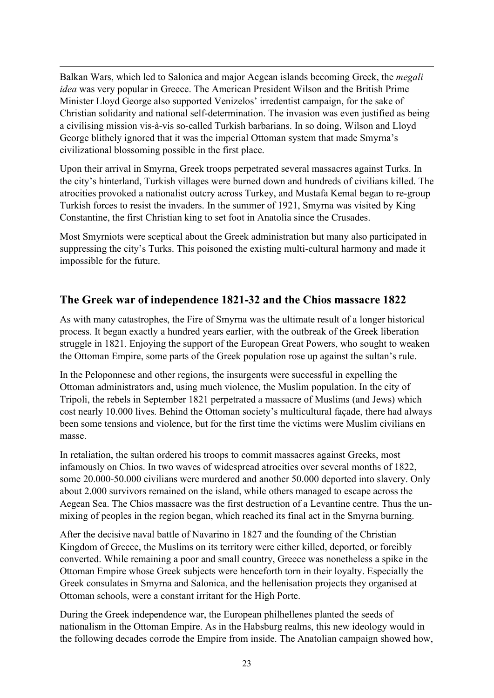Balkan Wars, which led to Salonica and major Aegean islands becoming Greek, the megali idea was very popular in Greece. The American President Wilson and the British Prime Minister Lloyd George also supported Venizelos' irredentist campaign, for the sake of Christian solidarity and national self-determination. The invasion was even justified as being a civilising mission vis-à-vis so-called Turkish barbarians. In so doing, Wilson and Lloyd George blithely ignored that it was the imperial Ottoman system that made Smyrna's civilizational blossoming possible in the first place.

Upon their arrival in Smyrna, Greek troops perpetrated several massacres against Turks. In the city's hinterland, Turkish villages were burned down and hundreds of civilians killed. The atrocities provoked a nationalist outcry across Turkey, and Mustafa Kemal began to re-group Turkish forces to resist the invaders. In the summer of 1921, Smyrna was visited by King Constantine, the first Christian king to set foot in Anatolia since the Crusades.

Most Smyrniots were sceptical about the Greek administration but many also participated in suppressing the city's Turks. This poisoned the existing multi-cultural harmony and made it impossible for the future.

#### The Greek war of independence 1821-32 and the Chios massacre 1822

As with many catastrophes, the Fire of Smyrna was the ultimate result of a longer historical process. It began exactly a hundred years earlier, with the outbreak of the Greek liberation struggle in 1821. Enjoying the support of the European Great Powers, who sought to weaken the Ottoman Empire, some parts of the Greek population rose up against the sultan's rule.

In the Peloponnese and other regions, the insurgents were successful in expelling the Ottoman administrators and, using much violence, the Muslim population. In the city of Tripoli, the rebels in September 1821 perpetrated a massacre of Muslims (and Jews) which cost nearly 10.000 lives. Behind the Ottoman society's multicultural façade, there had always been some tensions and violence, but for the first time the victims were Muslim civilians en masse.

In retaliation, the sultan ordered his troops to commit massacres against Greeks, most infamously on Chios. In two waves of widespread atrocities over several months of 1822, some 20.000-50.000 civilians were murdered and another 50.000 deported into slavery. Only about 2.000 survivors remained on the island, while others managed to escape across the Aegean Sea. The Chios massacre was the first destruction of a Levantine centre. Thus the unmixing of peoples in the region began, which reached its final act in the Smyrna burning.

After the decisive naval battle of Navarino in 1827 and the founding of the Christian Kingdom of Greece, the Muslims on its territory were either killed, deported, or forcibly converted. While remaining a poor and small country, Greece was nonetheless a spike in the Ottoman Empire whose Greek subjects were henceforth torn in their loyalty. Especially the Greek consulates in Smyrna and Salonica, and the hellenisation projects they organised at Ottoman schools, were a constant irritant for the High Porte.

During the Greek independence war, the European philhellenes planted the seeds of nationalism in the Ottoman Empire. As in the Habsburg realms, this new ideology would in the following decades corrode the Empire from inside. The Anatolian campaign showed how,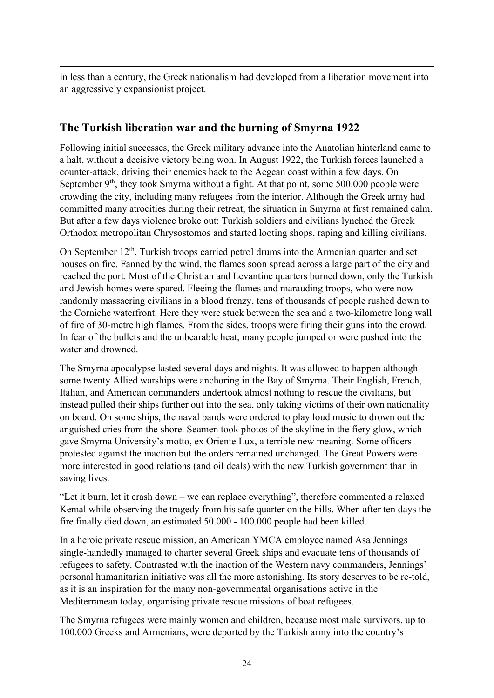in less than a century, the Greek nationalism had developed from a liberation movement into an aggressively expansionist project.

#### The Turkish liberation war and the burning of Smyrna 1922

Following initial successes, the Greek military advance into the Anatolian hinterland came to a halt, without a decisive victory being won. In August 1922, the Turkish forces launched a counter-attack, driving their enemies back to the Aegean coast within a few days. On September 9<sup>th</sup>, they took Smyrna without a fight. At that point, some 500.000 people were crowding the city, including many refugees from the interior. Although the Greek army had committed many atrocities during their retreat, the situation in Smyrna at first remained calm. But after a few days violence broke out: Turkish soldiers and civilians lynched the Greek Orthodox metropolitan Chrysostomos and started looting shops, raping and killing civilians.

On September  $12<sup>th</sup>$ , Turkish troops carried petrol drums into the Armenian quarter and set houses on fire. Fanned by the wind, the flames soon spread across a large part of the city and reached the port. Most of the Christian and Levantine quarters burned down, only the Turkish and Jewish homes were spared. Fleeing the flames and marauding troops, who were now randomly massacring civilians in a blood frenzy, tens of thousands of people rushed down to the Corniche waterfront. Here they were stuck between the sea and a two-kilometre long wall of fire of 30-metre high flames. From the sides, troops were firing their guns into the crowd. In fear of the bullets and the unbearable heat, many people jumped or were pushed into the water and drowned.

The Smyrna apocalypse lasted several days and nights. It was allowed to happen although some twenty Allied warships were anchoring in the Bay of Smyrna. Their English, French, Italian, and American commanders undertook almost nothing to rescue the civilians, but instead pulled their ships further out into the sea, only taking victims of their own nationality on board. On some ships, the naval bands were ordered to play loud music to drown out the anguished cries from the shore. Seamen took photos of the skyline in the fiery glow, which gave Smyrna University's motto, ex Oriente Lux, a terrible new meaning. Some officers protested against the inaction but the orders remained unchanged. The Great Powers were more interested in good relations (and oil deals) with the new Turkish government than in saving lives.

"Let it burn, let it crash down – we can replace everything", therefore commented a relaxed Kemal while observing the tragedy from his safe quarter on the hills. When after ten days the fire finally died down, an estimated 50.000 - 100.000 people had been killed.

In a heroic private rescue mission, an American YMCA employee named Asa Jennings single-handedly managed to charter several Greek ships and evacuate tens of thousands of refugees to safety. Contrasted with the inaction of the Western navy commanders, Jennings' personal humanitarian initiative was all the more astonishing. Its story deserves to be re-told, as it is an inspiration for the many non-governmental organisations active in the Mediterranean today, organising private rescue missions of boat refugees.

The Smyrna refugees were mainly women and children, because most male survivors, up to 100.000 Greeks and Armenians, were deported by the Turkish army into the country's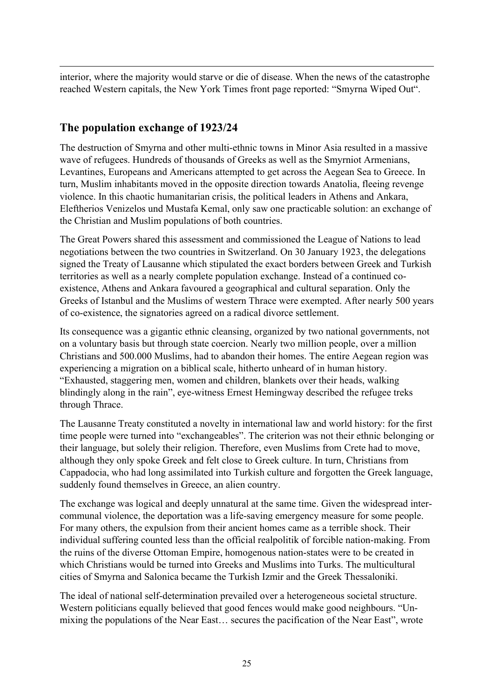interior, where the majority would starve or die of disease. When the news of the catastrophe reached Western capitals, the New York Times front page reported: "Smyrna Wiped Out".

#### The population exchange of 1923/24

The destruction of Smyrna and other multi-ethnic towns in Minor Asia resulted in a massive wave of refugees. Hundreds of thousands of Greeks as well as the Smyrniot Armenians, Levantines, Europeans and Americans attempted to get across the Aegean Sea to Greece. In turn, Muslim inhabitants moved in the opposite direction towards Anatolia, fleeing revenge violence. In this chaotic humanitarian crisis, the political leaders in Athens and Ankara, Eleftherios Venizelos und Mustafa Kemal, only saw one practicable solution: an exchange of the Christian and Muslim populations of both countries.

The Great Powers shared this assessment and commissioned the League of Nations to lead negotiations between the two countries in Switzerland. On 30 January 1923, the delegations signed the Treaty of Lausanne which stipulated the exact borders between Greek and Turkish territories as well as a nearly complete population exchange. Instead of a continued coexistence, Athens and Ankara favoured a geographical and cultural separation. Only the Greeks of Istanbul and the Muslims of western Thrace were exempted. After nearly 500 years of co-existence, the signatories agreed on a radical divorce settlement.

Its consequence was a gigantic ethnic cleansing, organized by two national governments, not on a voluntary basis but through state coercion. Nearly two million people, over a million Christians and 500.000 Muslims, had to abandon their homes. The entire Aegean region was experiencing a migration on a biblical scale, hitherto unheard of in human history. "Exhausted, staggering men, women and children, blankets over their heads, walking blindingly along in the rain", eye-witness Ernest Hemingway described the refugee treks through Thrace.

The Lausanne Treaty constituted a novelty in international law and world history: for the first time people were turned into "exchangeables". The criterion was not their ethnic belonging or their language, but solely their religion. Therefore, even Muslims from Crete had to move, although they only spoke Greek and felt close to Greek culture. In turn, Christians from Cappadocia, who had long assimilated into Turkish culture and forgotten the Greek language, suddenly found themselves in Greece, an alien country.

The exchange was logical and deeply unnatural at the same time. Given the widespread intercommunal violence, the deportation was a life-saving emergency measure for some people. For many others, the expulsion from their ancient homes came as a terrible shock. Their individual suffering counted less than the official realpolitik of forcible nation-making. From the ruins of the diverse Ottoman Empire, homogenous nation-states were to be created in which Christians would be turned into Greeks and Muslims into Turks. The multicultural cities of Smyrna and Salonica became the Turkish Izmir and the Greek Thessaloniki.

The ideal of national self-determination prevailed over a heterogeneous societal structure. Western politicians equally believed that good fences would make good neighbours. "Unmixing the populations of the Near East… secures the pacification of the Near East", wrote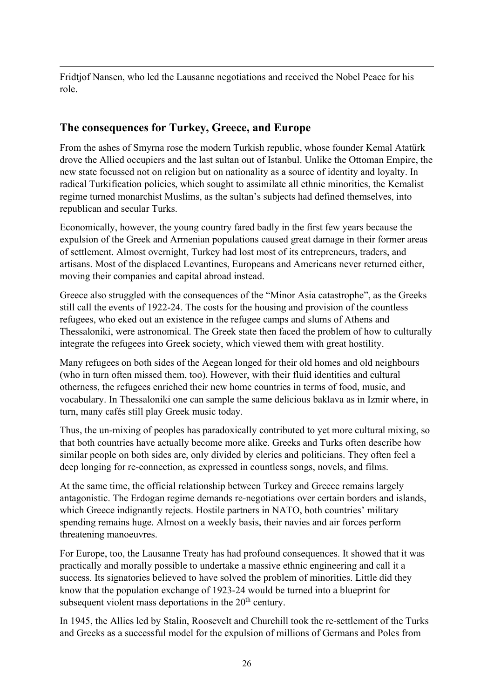Fridtjof Nansen, who led the Lausanne negotiations and received the Nobel Peace for his role.

#### The consequences for Turkey, Greece, and Europe

From the ashes of Smyrna rose the modern Turkish republic, whose founder Kemal Atatürk drove the Allied occupiers and the last sultan out of Istanbul. Unlike the Ottoman Empire, the new state focussed not on religion but on nationality as a source of identity and loyalty. In radical Turkification policies, which sought to assimilate all ethnic minorities, the Kemalist regime turned monarchist Muslims, as the sultan's subjects had defined themselves, into republican and secular Turks.

Economically, however, the young country fared badly in the first few years because the expulsion of the Greek and Armenian populations caused great damage in their former areas of settlement. Almost overnight, Turkey had lost most of its entrepreneurs, traders, and artisans. Most of the displaced Levantines, Europeans and Americans never returned either, moving their companies and capital abroad instead.

Greece also struggled with the consequences of the "Minor Asia catastrophe", as the Greeks still call the events of 1922-24. The costs for the housing and provision of the countless refugees, who eked out an existence in the refugee camps and slums of Athens and Thessaloniki, were astronomical. The Greek state then faced the problem of how to culturally integrate the refugees into Greek society, which viewed them with great hostility.

Many refugees on both sides of the Aegean longed for their old homes and old neighbours (who in turn often missed them, too). However, with their fluid identities and cultural otherness, the refugees enriched their new home countries in terms of food, music, and vocabulary. In Thessaloniki one can sample the same delicious baklava as in Izmir where, in turn, many cafés still play Greek music today.

Thus, the un-mixing of peoples has paradoxically contributed to yet more cultural mixing, so that both countries have actually become more alike. Greeks and Turks often describe how similar people on both sides are, only divided by clerics and politicians. They often feel a deep longing for re-connection, as expressed in countless songs, novels, and films.

At the same time, the official relationship between Turkey and Greece remains largely antagonistic. The Erdogan regime demands re-negotiations over certain borders and islands, which Greece indignantly rejects. Hostile partners in NATO, both countries' military spending remains huge. Almost on a weekly basis, their navies and air forces perform threatening manoeuvres.

For Europe, too, the Lausanne Treaty has had profound consequences. It showed that it was practically and morally possible to undertake a massive ethnic engineering and call it a success. Its signatories believed to have solved the problem of minorities. Little did they know that the population exchange of 1923-24 would be turned into a blueprint for subsequent violent mass deportations in the  $20<sup>th</sup>$  century.

In 1945, the Allies led by Stalin, Roosevelt and Churchill took the re-settlement of the Turks and Greeks as a successful model for the expulsion of millions of Germans and Poles from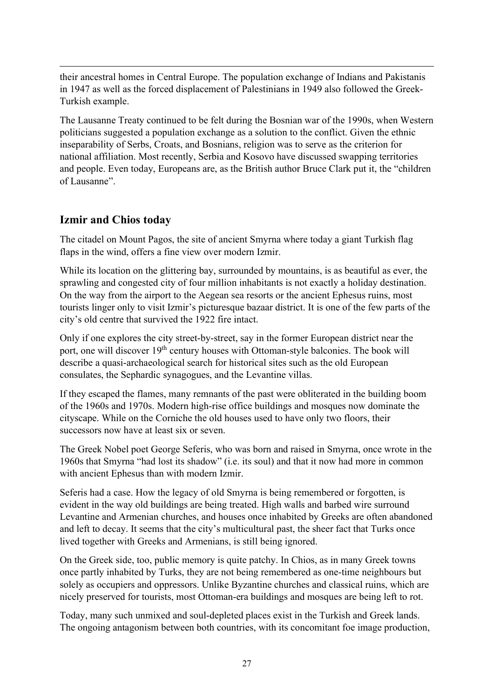their ancestral homes in Central Europe. The population exchange of Indians and Pakistanis in 1947 as well as the forced displacement of Palestinians in 1949 also followed the Greek-Turkish example.

The Lausanne Treaty continued to be felt during the Bosnian war of the 1990s, when Western politicians suggested a population exchange as a solution to the conflict. Given the ethnic inseparability of Serbs, Croats, and Bosnians, religion was to serve as the criterion for national affiliation. Most recently, Serbia and Kosovo have discussed swapping territories and people. Even today, Europeans are, as the British author Bruce Clark put it, the "children of Lausanne".

#### Izmir and Chios today

The citadel on Mount Pagos, the site of ancient Smyrna where today a giant Turkish flag flaps in the wind, offers a fine view over modern Izmir.

While its location on the glittering bay, surrounded by mountains, is as beautiful as ever, the sprawling and congested city of four million inhabitants is not exactly a holiday destination. On the way from the airport to the Aegean sea resorts or the ancient Ephesus ruins, most tourists linger only to visit Izmir's picturesque bazaar district. It is one of the few parts of the city's old centre that survived the 1922 fire intact.

Only if one explores the city street-by-street, say in the former European district near the port, one will discover 19<sup>th</sup> century houses with Ottoman-style balconies. The book will describe a quasi-archaeological search for historical sites such as the old European consulates, the Sephardic synagogues, and the Levantine villas.

If they escaped the flames, many remnants of the past were obliterated in the building boom of the 1960s and 1970s. Modern high-rise office buildings and mosques now dominate the cityscape. While on the Corniche the old houses used to have only two floors, their successors now have at least six or seven.

The Greek Nobel poet George Seferis, who was born and raised in Smyrna, once wrote in the 1960s that Smyrna "had lost its shadow" (i.e. its soul) and that it now had more in common with ancient Ephesus than with modern Izmir.

Seferis had a case. How the legacy of old Smyrna is being remembered or forgotten, is evident in the way old buildings are being treated. High walls and barbed wire surround Levantine and Armenian churches, and houses once inhabited by Greeks are often abandoned and left to decay. It seems that the city's multicultural past, the sheer fact that Turks once lived together with Greeks and Armenians, is still being ignored.

On the Greek side, too, public memory is quite patchy. In Chios, as in many Greek towns once partly inhabited by Turks, they are not being remembered as one-time neighbours but solely as occupiers and oppressors. Unlike Byzantine churches and classical ruins, which are nicely preserved for tourists, most Ottoman-era buildings and mosques are being left to rot.

Today, many such unmixed and soul-depleted places exist in the Turkish and Greek lands. The ongoing antagonism between both countries, with its concomitant foe image production,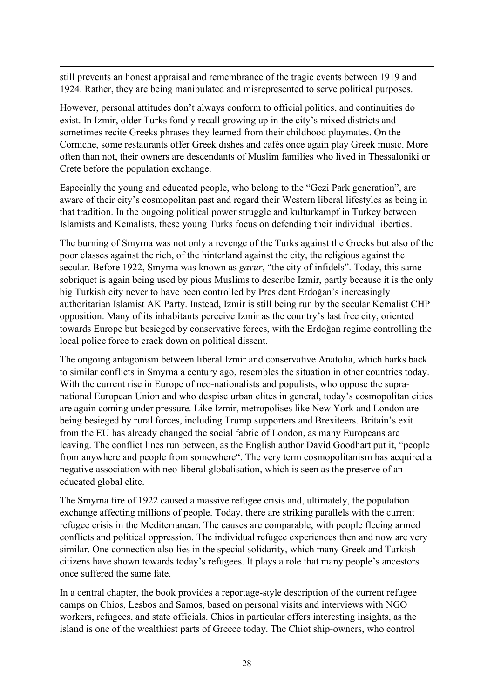still prevents an honest appraisal and remembrance of the tragic events between 1919 and 1924. Rather, they are being manipulated and misrepresented to serve political purposes.

However, personal attitudes don't always conform to official politics, and continuities do exist. In Izmir, older Turks fondly recall growing up in the city's mixed districts and sometimes recite Greeks phrases they learned from their childhood playmates. On the Corniche, some restaurants offer Greek dishes and cafés once again play Greek music. More often than not, their owners are descendants of Muslim families who lived in Thessaloniki or Crete before the population exchange.

Especially the young and educated people, who belong to the "Gezi Park generation", are aware of their city's cosmopolitan past and regard their Western liberal lifestyles as being in that tradition. In the ongoing political power struggle and kulturkampf in Turkey between Islamists and Kemalists, these young Turks focus on defending their individual liberties.

The burning of Smyrna was not only a revenge of the Turks against the Greeks but also of the poor classes against the rich, of the hinterland against the city, the religious against the secular. Before 1922, Smyrna was known as *gavur*, "the city of infidels". Today, this same sobriquet is again being used by pious Muslims to describe Izmir, partly because it is the only big Turkish city never to have been controlled by President Erdoğan's increasingly authoritarian Islamist AK Party. Instead, Izmir is still being run by the secular Kemalist CHP opposition. Many of its inhabitants perceive Izmir as the country's last free city, oriented towards Europe but besieged by conservative forces, with the Erdoğan regime controlling the local police force to crack down on political dissent.

The ongoing antagonism between liberal Izmir and conservative Anatolia, which harks back to similar conflicts in Smyrna a century ago, resembles the situation in other countries today. With the current rise in Europe of neo-nationalists and populists, who oppose the supranational European Union and who despise urban elites in general, today's cosmopolitan cities are again coming under pressure. Like Izmir, metropolises like New York and London are being besieged by rural forces, including Trump supporters and Brexiteers. Britain's exit from the EU has already changed the social fabric of London, as many Europeans are leaving. The conflict lines run between, as the English author David Goodhart put it, "people from anywhere and people from somewhere". The very term cosmopolitanism has acquired a negative association with neo-liberal globalisation, which is seen as the preserve of an educated global elite.

The Smyrna fire of 1922 caused a massive refugee crisis and, ultimately, the population exchange affecting millions of people. Today, there are striking parallels with the current refugee crisis in the Mediterranean. The causes are comparable, with people fleeing armed conflicts and political oppression. The individual refugee experiences then and now are very similar. One connection also lies in the special solidarity, which many Greek and Turkish citizens have shown towards today's refugees. It plays a role that many people's ancestors once suffered the same fate.

In a central chapter, the book provides a reportage-style description of the current refugee camps on Chios, Lesbos and Samos, based on personal visits and interviews with NGO workers, refugees, and state officials. Chios in particular offers interesting insights, as the island is one of the wealthiest parts of Greece today. The Chiot ship-owners, who control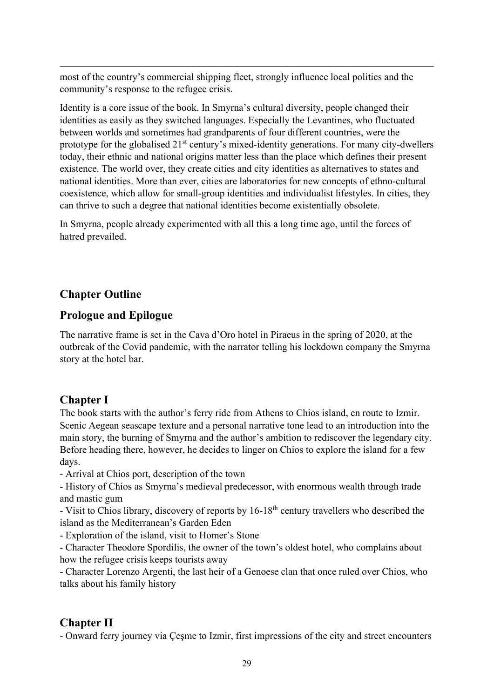most of the country's commercial shipping fleet, strongly influence local politics and the community's response to the refugee crisis.

Identity is a core issue of the book. In Smyrna's cultural diversity, people changed their identities as easily as they switched languages. Especially the Levantines, who fluctuated between worlds and sometimes had grandparents of four different countries, were the prototype for the globalised 21<sup>st</sup> century's mixed-identity generations. For many city-dwellers today, their ethnic and national origins matter less than the place which defines their present existence. The world over, they create cities and city identities as alternatives to states and national identities. More than ever, cities are laboratories for new concepts of ethno-cultural coexistence, which allow for small-group identities and individualist lifestyles. In cities, they can thrive to such a degree that national identities become existentially obsolete.

In Smyrna, people already experimented with all this a long time ago, until the forces of hatred prevailed.

## Chapter Outline

#### Prologue and Epilogue

The narrative frame is set in the Cava d'Oro hotel in Piraeus in the spring of 2020, at the outbreak of the Covid pandemic, with the narrator telling his lockdown company the Smyrna story at the hotel bar.

## Chapter I

The book starts with the author's ferry ride from Athens to Chios island, en route to Izmir. Scenic Aegean seascape texture and a personal narrative tone lead to an introduction into the main story, the burning of Smyrna and the author's ambition to rediscover the legendary city. Before heading there, however, he decides to linger on Chios to explore the island for a few days.

- Arrival at Chios port, description of the town

- History of Chios as Smyrna's medieval predecessor, with enormous wealth through trade and mastic gum

- Visit to Chios library, discovery of reports by 16-18<sup>th</sup> century travellers who described the island as the Mediterranean's Garden Eden

- Exploration of the island, visit to Homer's Stone

- Character Theodore Spordilis, the owner of the town's oldest hotel, who complains about how the refugee crisis keeps tourists away

- Character Lorenzo Argenti, the last heir of a Genoese clan that once ruled over Chios, who talks about his family history

## Chapter II

- Onward ferry journey via Çeşme to Izmir, first impressions of the city and street encounters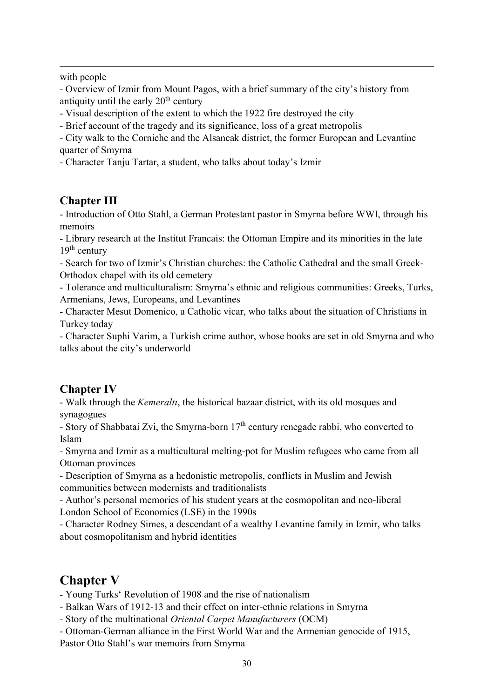with people

- Overview of Izmir from Mount Pagos, with a brief summary of the city's history from antiquity until the early  $20<sup>th</sup>$  century

- Visual description of the extent to which the 1922 fire destroyed the city
- Brief account of the tragedy and its significance, loss of a great metropolis

- City walk to the Corniche and the Alsancak district, the former European and Levantine quarter of Smyrna

- Character Tanju Tartar, a student, who talks about today's Izmir

#### Chapter III

- Introduction of Otto Stahl, a German Protestant pastor in Smyrna before WWI, through his memoirs

- Library research at the Institut Francais: the Ottoman Empire and its minorities in the late  $19<sup>th</sup>$  century

- Search for two of Izmir's Christian churches: the Catholic Cathedral and the small Greek-Orthodox chapel with its old cemetery

- Tolerance and multiculturalism: Smyrna's ethnic and religious communities: Greeks, Turks, Armenians, Jews, Europeans, and Levantines

- Character Mesut Domenico, a Catholic vicar, who talks about the situation of Christians in Turkey today

- Character Suphi Varim, a Turkish crime author, whose books are set in old Smyrna and who talks about the city's underworld

#### Chapter IV

- Walk through the *Kemeralti*, the historical bazaar district, with its old mosques and synagogues

- Story of Shabbatai Zvi, the Smyrna-born  $17<sup>th</sup>$  century renegade rabbi, who converted to Islam

- Smyrna and Izmir as a multicultural melting-pot for Muslim refugees who came from all Ottoman provinces

- Description of Smyrna as a hedonistic metropolis, conflicts in Muslim and Jewish communities between modernists and traditionalists

- Author's personal memories of his student years at the cosmopolitan and neo-liberal London School of Economics (LSE) in the 1990s

- Character Rodney Simes, a descendant of a wealthy Levantine family in Izmir, who talks about cosmopolitanism and hybrid identities

## Chapter V

- Young Turks' Revolution of 1908 and the rise of nationalism

- Balkan Wars of 1912-13 and their effect on inter-ethnic relations in Smyrna
- Story of the multinational Oriental Carpet Manufacturers (OCM)

- Ottoman-German alliance in the First World War and the Armenian genocide of 1915, Pastor Otto Stahl's war memoirs from Smyrna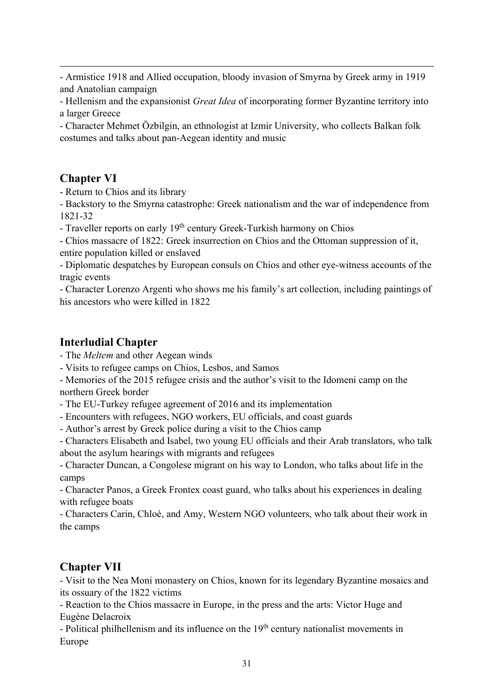- Armistice 1918 and Allied occupation, bloody invasion of Smyrna by Greek army in 1919 and Anatolian campaign

- Hellenism and the expansionist *Great Idea* of incorporating former Byzantine territory into a larger Greece

- Character Mehmet Özbilgin, an ethnologist at Izmir University, who collects Balkan folk costumes and talks about pan-Aegean identity and music

## Chapter VI

- Return to Chios and its library

- Backstory to the Smyrna catastrophe: Greek nationalism and the war of independence from 1821-32

- Traveller reports on early  $19<sup>th</sup>$  century Greek-Turkish harmony on Chios

- Chios massacre of 1822: Greek insurrection on Chios and the Ottoman suppression of it, entire population killed or enslaved

- Diplomatic despatches by European consuls on Chios and other eye-witness accounts of the tragic events

- Character Lorenzo Argenti who shows me his family's art collection, including paintings of his ancestors who were killed in 1822

## Interludial Chapter

- The Meltem and other Aegean winds

- Visits to refugee camps on Chios, Lesbos, and Samos

- Memories of the 2015 refugee crisis and the author's visit to the Idomeni camp on the northern Greek border

- The EU-Turkey refugee agreement of 2016 and its implementation

- Encounters with refugees, NGO workers, EU officials, and coast guards

- Author's arrest by Greek police during a visit to the Chios camp

- Characters Elisabeth and Isabel, two young EU officials and their Arab translators, who talk about the asylum hearings with migrants and refugees

- Character Duncan, a Congolese migrant on his way to London, who talks about life in the camps

- Character Panos, a Greek Frontex coast guard, who talks about his experiences in dealing with refugee boats

- Characters Carin, Chloé, and Amy, Western NGO volunteers, who talk about their work in the camps

## Chapter VII

- Visit to the Nea Moni monastery on Chios, known for its legendary Byzantine mosaics and its ossuary of the 1822 victims

- Reaction to the Chios massacre in Europe, in the press and the arts: Victor Huge and Eugène Delacroix

- Political philhellenism and its influence on the  $19<sup>th</sup>$  century nationalist movements in Europe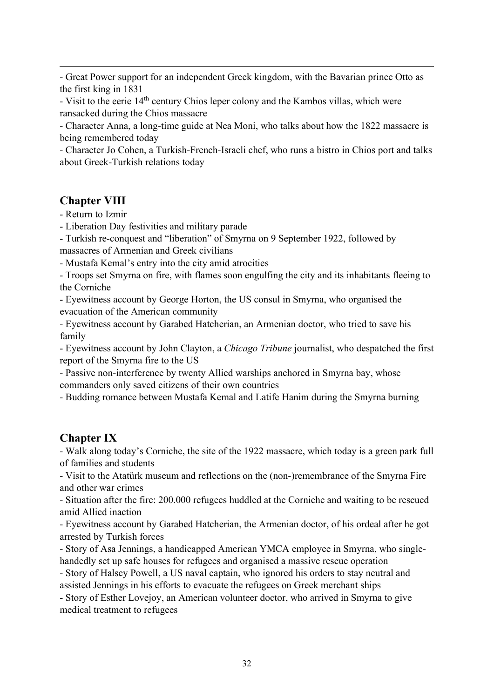- Great Power support for an independent Greek kingdom, with the Bavarian prince Otto as the first king in 1831

- Visit to the eerie 14<sup>th</sup> century Chios leper colony and the Kambos villas, which were ransacked during the Chios massacre

- Character Anna, a long-time guide at Nea Moni, who talks about how the 1822 massacre is being remembered today

- Character Jo Cohen, a Turkish-French-Israeli chef, who runs a bistro in Chios port and talks about Greek-Turkish relations today

#### Chapter VIII

- Return to Izmir

- Liberation Day festivities and military parade

- Turkish re-conquest and "liberation" of Smyrna on 9 September 1922, followed by massacres of Armenian and Greek civilians

- Mustafa Kemal's entry into the city amid atrocities

- Troops set Smyrna on fire, with flames soon engulfing the city and its inhabitants fleeing to the Corniche

- Eyewitness account by George Horton, the US consul in Smyrna, who organised the evacuation of the American community

- Eyewitness account by Garabed Hatcherian, an Armenian doctor, who tried to save his family

- Eyewitness account by John Clayton, a Chicago Tribune journalist, who despatched the first report of the Smyrna fire to the US

- Passive non-interference by twenty Allied warships anchored in Smyrna bay, whose commanders only saved citizens of their own countries

- Budding romance between Mustafa Kemal and Latife Hanim during the Smyrna burning

#### Chapter IX

- Walk along today's Corniche, the site of the 1922 massacre, which today is a green park full of families and students

- Visit to the Atatürk museum and reflections on the (non-)remembrance of the Smyrna Fire and other war crimes

- Situation after the fire: 200.000 refugees huddled at the Corniche and waiting to be rescued amid Allied inaction

- Eyewitness account by Garabed Hatcherian, the Armenian doctor, of his ordeal after he got arrested by Turkish forces

- Story of Asa Jennings, a handicapped American YMCA employee in Smyrna, who singlehandedly set up safe houses for refugees and organised a massive rescue operation

- Story of Halsey Powell, a US naval captain, who ignored his orders to stay neutral and assisted Jennings in his efforts to evacuate the refugees on Greek merchant ships

- Story of Esther Lovejoy, an American volunteer doctor, who arrived in Smyrna to give medical treatment to refugees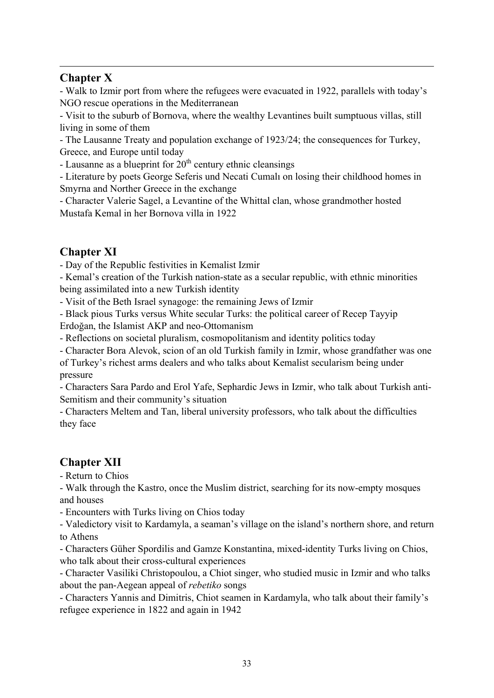#### Chapter X

- Walk to Izmir port from where the refugees were evacuated in 1922, parallels with today's NGO rescue operations in the Mediterranean

- Visit to the suburb of Bornova, where the wealthy Levantines built sumptuous villas, still living in some of them

- The Lausanne Treaty and population exchange of 1923/24; the consequences for Turkey, Greece, and Europe until today

- Lausanne as a blueprint for  $20<sup>th</sup>$  century ethnic cleansings

- Literature by poets George Seferis und Necati Cumalı on losing their childhood homes in Smyrna and Norther Greece in the exchange

- Character Valerie Sagel, a Levantine of the Whittal clan, whose grandmother hosted Mustafa Kemal in her Bornova villa in 1922

## Chapter XI

- Day of the Republic festivities in Kemalist Izmir

- Kemal's creation of the Turkish nation-state as a secular republic, with ethnic minorities being assimilated into a new Turkish identity

- Visit of the Beth Israel synagoge: the remaining Jews of Izmir

- Black pious Turks versus White secular Turks: the political career of Recep Tayyip Erdoğan, the Islamist AKP and neo-Ottomanism

- Reflections on societal pluralism, cosmopolitanism and identity politics today

- Character Bora Alevok, scion of an old Turkish family in Izmir, whose grandfather was one of Turkey's richest arms dealers and who talks about Kemalist secularism being under pressure

- Characters Sara Pardo and Erol Yafe, Sephardic Jews in Izmir, who talk about Turkish anti-Semitism and their community's situation

- Characters Meltem and Tan, liberal university professors, who talk about the difficulties they face

## Chapter XII

- Return to Chios

- Walk through the Kastro, once the Muslim district, searching for its now-empty mosques and houses

- Encounters with Turks living on Chios today

- Valedictory visit to Kardamyla, a seaman's village on the island's northern shore, and return to Athens

- Characters Güher Spordilis and Gamze Konstantina, mixed-identity Turks living on Chios, who talk about their cross-cultural experiences

- Character Vasiliki Christopoulou, a Chiot singer, who studied music in Izmir and who talks about the pan-Aegean appeal of rebetiko songs

- Characters Yannis and Dimitris, Chiot seamen in Kardamyla, who talk about their family's refugee experience in 1822 and again in 1942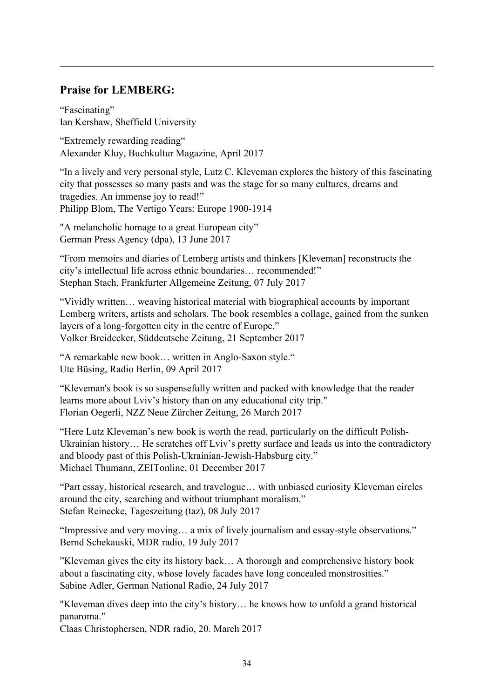#### Praise for LEMBERG:

"Fascinating" Ian Kershaw, Sheffield University

"Extremely rewarding reading" Alexander Kluy, Buchkultur Magazine, April 2017

"In a lively and very personal style, Lutz C. Kleveman explores the history of this fascinating city that possesses so many pasts and was the stage for so many cultures, dreams and tragedies. An immense joy to read!" Philipp Blom, The Vertigo Years: Europe 1900-1914

"A melancholic homage to a great European city" German Press Agency (dpa), 13 June 2017

"From memoirs and diaries of Lemberg artists and thinkers [Kleveman] reconstructs the city's intellectual life across ethnic boundaries… recommended!" Stephan Stach, Frankfurter Allgemeine Zeitung, 07 July 2017

"Vividly written… weaving historical material with biographical accounts by important Lemberg writers, artists and scholars. The book resembles a collage, gained from the sunken layers of a long-forgotten city in the centre of Europe." Volker Breidecker, Süddeutsche Zeitung, 21 September 2017

"A remarkable new book… written in Anglo-Saxon style." Ute Büsing, Radio Berlin, 09 April 2017

"Kleveman's book is so suspensefully written and packed with knowledge that the reader learns more about Lviv's history than on any educational city trip." Florian Oegerli, NZZ Neue Zürcher Zeitung, 26 March 2017

"Here Lutz Kleveman's new book is worth the read, particularly on the difficult Polish-Ukrainian history… He scratches off Lviv's pretty surface and leads us into the contradictory and bloody past of this Polish-Ukrainian-Jewish-Habsburg city." Michael Thumann, ZEITonline, 01 December 2017

"Part essay, historical research, and travelogue… with unbiased curiosity Kleveman circles around the city, searching and without triumphant moralism." Stefan Reinecke, Tageszeitung (taz), 08 July 2017

"Impressive and very moving… a mix of lively journalism and essay-style observations." Bernd Schekauski, MDR radio, 19 July 2017

"Kleveman gives the city its history back… A thorough and comprehensive history book about a fascinating city, whose lovely facades have long concealed monstrosities." Sabine Adler, German National Radio, 24 July 2017

"Kleveman dives deep into the city's history… he knows how to unfold a grand historical panaroma."

Claas Christophersen, NDR radio, 20. March 2017